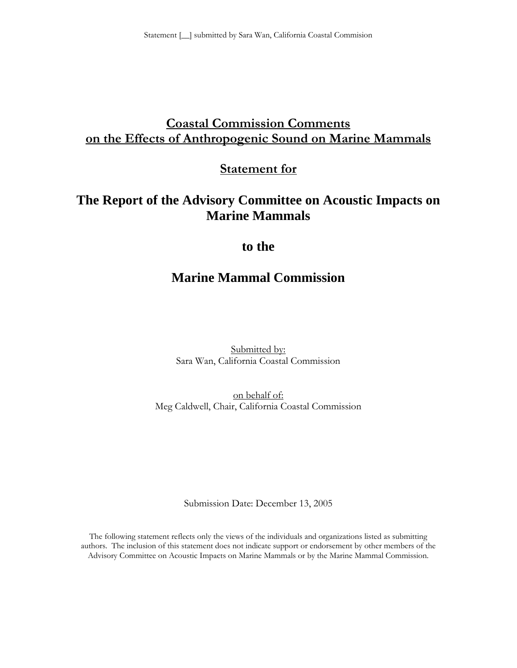# **Coastal Commission Comments on the Effects of Anthropogenic Sound on Marine Mammals**

**Statement for**

# **The Report of the Advisory Committee on Acoustic Impacts on Marine Mammals**

# **to the**

# **Marine Mammal Commission**

Submitted by: Sara Wan, California Coastal Commission

on behalf of: Meg Caldwell, Chair, California Coastal Commission

Submission Date: December 13, 2005

The following statement reflects only the views of the individuals and organizations listed as submitting authors. The inclusion of this statement does not indicate support or endorsement by other members of the Advisory Committee on Acoustic Impacts on Marine Mammals or by the Marine Mammal Commission.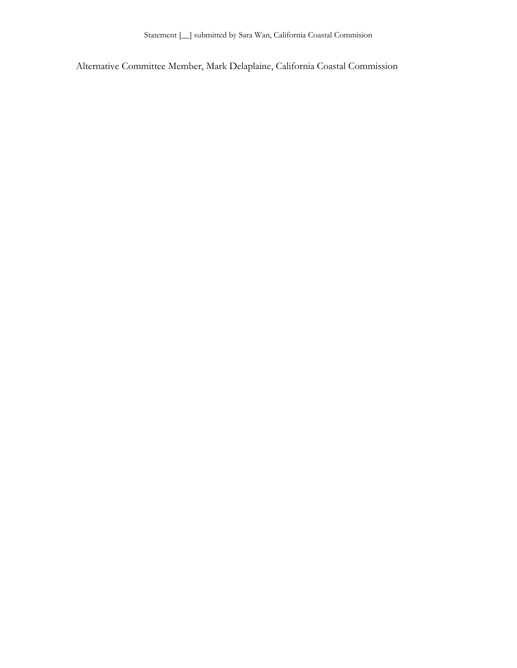Alternative Committee Member, Mark Delaplaine, California Coastal Commission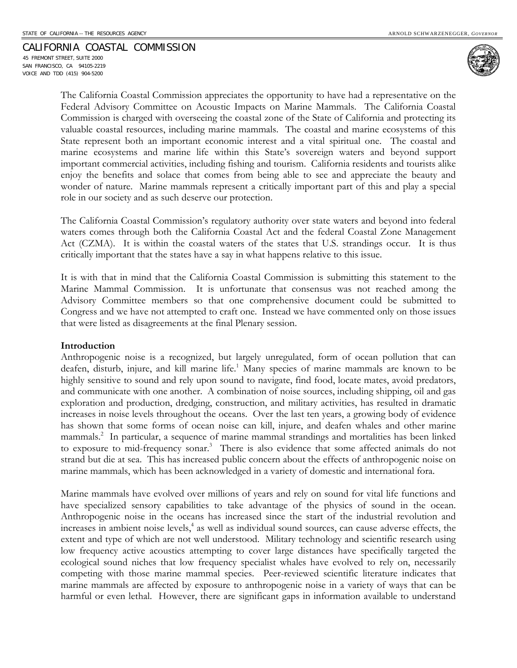### CALIFORNIA COASTAL COMMISSION

45 FREMONT STREET, SUITE 2000 SAN FRANCISCO, CA 94105-2219 VOICE AND TDD (415) 904-5200



The California Coastal Commission appreciates the opportunity to have had a representative on the Federal Advisory Committee on Acoustic Impacts on Marine Mammals. The California Coastal Commission is charged with overseeing the coastal zone of the State of California and protecting its valuable coastal resources, including marine mammals. The coastal and marine ecosystems of this State represent both an important economic interest and a vital spiritual one. The coastal and marine ecosystems and marine life within this State's sovereign waters and beyond support important commercial activities, including fishing and tourism. California residents and tourists alike enjoy the benefits and solace that comes from being able to see and appreciate the beauty and wonder of nature. Marine mammals represent a critically important part of this and play a special role in our society and as such deserve our protection.

The California Coastal Commission's regulatory authority over state waters and beyond into federal waters comes through both the California Coastal Act and the federal Coastal Zone Management Act (CZMA). It is within the coastal waters of the states that U.S. strandings occur. It is thus critically important that the states have a say in what happens relative to this issue.

It is with that in mind that the California Coastal Commission is submitting this statement to the Marine Mammal Commission. It is unfortunate that consensus was not reached among the Advisory Committee members so that one comprehensive document could be submitted to Congress and we have not attempted to craft one. Instead we have commented only on those issues that were listed as disagreements at the final Plenary session.

#### **Introduction**

Anthropogenic noise is a recognized, but largely unregulated, form of ocean pollution that can deafen, disturb, injure, and kill marine life.<sup>1</sup> Many species of marine mammals are known to be highly sensitive to sound and rely upon sound to navigate, find food, locate mates, avoid predators, and communicate with one another. A combination of noise sources, including shipping, oil and gas exploration and production, dredging, construction, and military activities, has resulted in dramatic increases in noise levels throughout the oceans. Over the last ten years, a growing body of evidence has shown that some forms of ocean noise can kill, injure, and deafen whales and other marine mammals.2 In particular, a sequence of marine mammal strandings and mortalities has been linked to exposure to mid-frequency sonar.<sup>3</sup> There is also evidence that some affected animals do not strand but die at sea. This has increased public concern about the effects of anthropogenic noise on marine mammals, which has been acknowledged in a variety of domestic and international fora.

Marine mammals have evolved over millions of years and rely on sound for vital life functions and have specialized sensory capabilities to take advantage of the physics of sound in the ocean. Anthropogenic noise in the oceans has increased since the start of the industrial revolution and increases in ambient noise levels,<sup>4</sup> as well as individual sound sources, can cause adverse effects, the extent and type of which are not well understood. Military technology and scientific research using low frequency active acoustics attempting to cover large distances have specifically targeted the ecological sound niches that low frequency specialist whales have evolved to rely on, necessarily competing with those marine mammal species. Peer-reviewed scientific literature indicates that marine mammals are affected by exposure to anthropogenic noise in a variety of ways that can be harmful or even lethal. However, there are significant gaps in information available to understand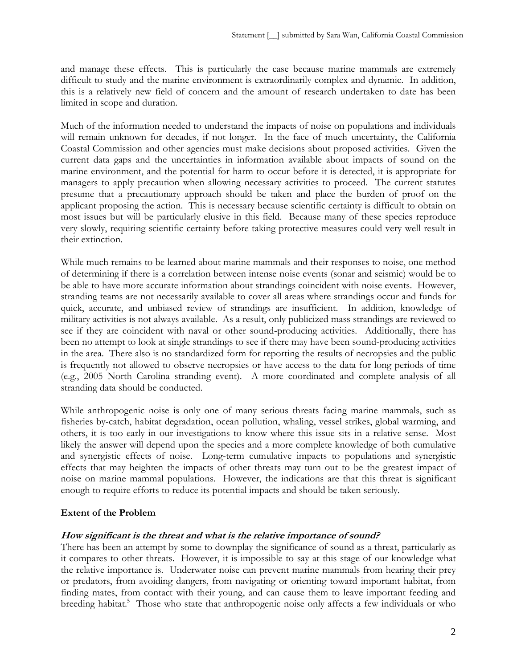and manage these effects. This is particularly the case because marine mammals are extremely difficult to study and the marine environment is extraordinarily complex and dynamic. In addition, this is a relatively new field of concern and the amount of research undertaken to date has been limited in scope and duration.

Much of the information needed to understand the impacts of noise on populations and individuals will remain unknown for decades, if not longer. In the face of much uncertainty, the California Coastal Commission and other agencies must make decisions about proposed activities. Given the current data gaps and the uncertainties in information available about impacts of sound on the marine environment, and the potential for harm to occur before it is detected, it is appropriate for managers to apply precaution when allowing necessary activities to proceed. The current statutes presume that a precautionary approach should be taken and place the burden of proof on the applicant proposing the action. This is necessary because scientific certainty is difficult to obtain on most issues but will be particularly elusive in this field. Because many of these species reproduce very slowly, requiring scientific certainty before taking protective measures could very well result in their extinction.

While much remains to be learned about marine mammals and their responses to noise, one method of determining if there is a correlation between intense noise events (sonar and seismic) would be to be able to have more accurate information about strandings coincident with noise events. However, stranding teams are not necessarily available to cover all areas where strandings occur and funds for quick, accurate, and unbiased review of strandings are insufficient. In addition, knowledge of military activities is not always available. As a result, only publicized mass strandings are reviewed to see if they are coincident with naval or other sound-producing activities. Additionally, there has been no attempt to look at single strandings to see if there may have been sound-producing activities in the area. There also is no standardized form for reporting the results of necropsies and the public is frequently not allowed to observe necropsies or have access to the data for long periods of time (e.g., 2005 North Carolina stranding event). A more coordinated and complete analysis of all stranding data should be conducted.

While anthropogenic noise is only one of many serious threats facing marine mammals, such as fisheries by-catch, habitat degradation, ocean pollution, whaling, vessel strikes, global warming, and others, it is too early in our investigations to know where this issue sits in a relative sense. Most likely the answer will depend upon the species and a more complete knowledge of both cumulative and synergistic effects of noise. Long-term cumulative impacts to populations and synergistic effects that may heighten the impacts of other threats may turn out to be the greatest impact of noise on marine mammal populations. However, the indications are that this threat is significant enough to require efforts to reduce its potential impacts and should be taken seriously.

### **Extent of the Problem**

### **How significant is the threat and what is the relative importance of sound?**

There has been an attempt by some to downplay the significance of sound as a threat, particularly as it compares to other threats. However, it is impossible to say at this stage of our knowledge what the relative importance is. Underwater noise can prevent marine mammals from hearing their prey or predators, from avoiding dangers, from navigating or orienting toward important habitat, from finding mates, from contact with their young, and can cause them to leave important feeding and breeding habitat.<sup>5</sup> Those who state that anthropogenic noise only affects a few individuals or who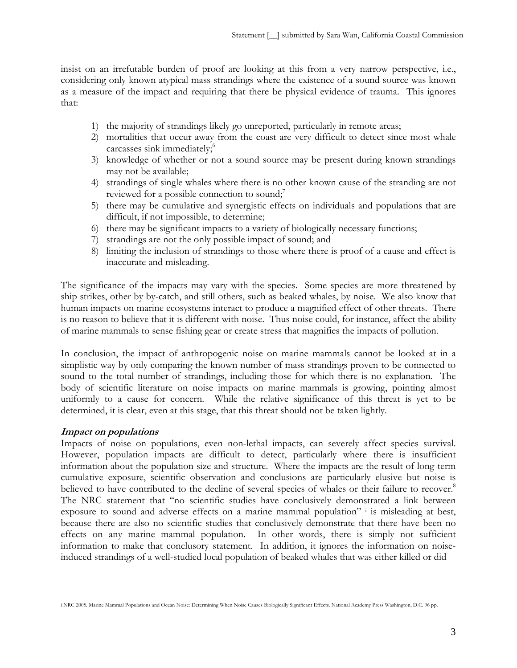insist on an irrefutable burden of proof are looking at this from a very narrow perspective, i.e., considering only known atypical mass strandings where the existence of a sound source was known as a measure of the impact and requiring that there be physical evidence of trauma. This ignores that:

- 1) the majority of strandings likely go unreported, particularly in remote areas;
- 2) mortalities that occur away from the coast are very difficult to detect since most whale carcasses sink immediately; 6
- 3) knowledge of whether or not a sound source may be present during known strandings may not be available;
- 4) strandings of single whales where there is no other known cause of the stranding are not reviewed for a possible connection to sound;<sup>7</sup>
- 5) there may be cumulative and synergistic effects on individuals and populations that are difficult, if not impossible, to determine;
- 6) there may be significant impacts to a variety of biologically necessary functions;
- 7) strandings are not the only possible impact of sound; and
- 8) limiting the inclusion of strandings to those where there is proof of a cause and effect is inaccurate and misleading.

The significance of the impacts may vary with the species. Some species are more threatened by ship strikes, other by by-catch, and still others, such as beaked whales, by noise. We also know that human impacts on marine ecosystems interact to produce a magnified effect of other threats. There is no reason to believe that it is different with noise. Thus noise could, for instance, affect the ability of marine mammals to sense fishing gear or create stress that magnifies the impacts of pollution.

In conclusion, the impact of anthropogenic noise on marine mammals cannot be looked at in a simplistic way by only comparing the known number of mass strandings proven to be connected to sound to the total number of strandings, including those for which there is no explanation. The body of scientific literature on noise impacts on marine mammals is growing, pointing almost uniformly to a cause for concern. While the relative significance of this threat is yet to be determined, it is clear, even at this stage, that this threat should not be taken lightly.

# **Impact on populations**

Impacts of noise on populations, even non-lethal impacts, can severely affect species survival. However, population impacts are difficult to detect, particularly where there is insufficient information about the population size and structure. Where the impacts are the result of long-term cumulative exposure, scientific observation and conclusions are particularly elusive but noise is believed to have contributed to the decline of several species of whales or their failure to recover.<sup>8</sup> The NRC statement that "no scientific studies have conclusively demonstrated a link between exposure to sound and adverse effects on a marine mammal population" i is misleading at best, because there are also no scientific studies that conclusively demonstrate that there have been no effects on any marine mammal population. In other words, there is simply not sufficient information to make that conclusory statement. In addition, it ignores the information on noiseinduced strandings of a well-studied local population of beaked whales that was either killed or did

<sup>1</sup> i NRC 2005. Marine Mammal Populations and Ocean Noise: Determining When Noise Causes Biologically Significant Effects. National Academy Press Washington, D.C. 96 pp.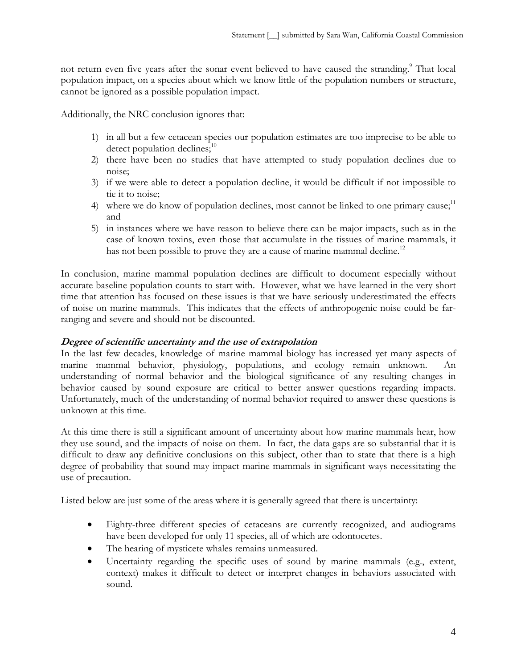not return even five years after the sonar event believed to have caused the stranding.<sup>9</sup> That local population impact, on a species about which we know little of the population numbers or structure, cannot be ignored as a possible population impact.

Additionally, the NRC conclusion ignores that:

- 1) in all but a few cetacean species our population estimates are too imprecise to be able to detect population declines; $10$
- 2) there have been no studies that have attempted to study population declines due to noise;
- 3) if we were able to detect a population decline, it would be difficult if not impossible to tie it to noise;
- 4) where we do know of population declines, most cannot be linked to one primary cause;<sup>11</sup> and
- 5) in instances where we have reason to believe there can be major impacts, such as in the case of known toxins, even those that accumulate in the tissues of marine mammals, it has not been possible to prove they are a cause of marine mammal decline.<sup>12</sup>

In conclusion, marine mammal population declines are difficult to document especially without accurate baseline population counts to start with. However, what we have learned in the very short time that attention has focused on these issues is that we have seriously underestimated the effects of noise on marine mammals. This indicates that the effects of anthropogenic noise could be farranging and severe and should not be discounted.

# **Degree of scientific uncertainty and the use of extrapolation**

In the last few decades, knowledge of marine mammal biology has increased yet many aspects of marine mammal behavior, physiology, populations, and ecology remain unknown. understanding of normal behavior and the biological significance of any resulting changes in behavior caused by sound exposure are critical to better answer questions regarding impacts. Unfortunately, much of the understanding of normal behavior required to answer these questions is unknown at this time.

At this time there is still a significant amount of uncertainty about how marine mammals hear, how they use sound, and the impacts of noise on them. In fact, the data gaps are so substantial that it is difficult to draw any definitive conclusions on this subject, other than to state that there is a high degree of probability that sound may impact marine mammals in significant ways necessitating the use of precaution.

Listed below are just some of the areas where it is generally agreed that there is uncertainty:

- Eighty-three different species of cetaceans are currently recognized, and audiograms have been developed for only 11 species, all of which are odontocetes.
- The hearing of mysticete whales remains unmeasured.
- Uncertainty regarding the specific uses of sound by marine mammals (e.g., extent, context) makes it difficult to detect or interpret changes in behaviors associated with sound.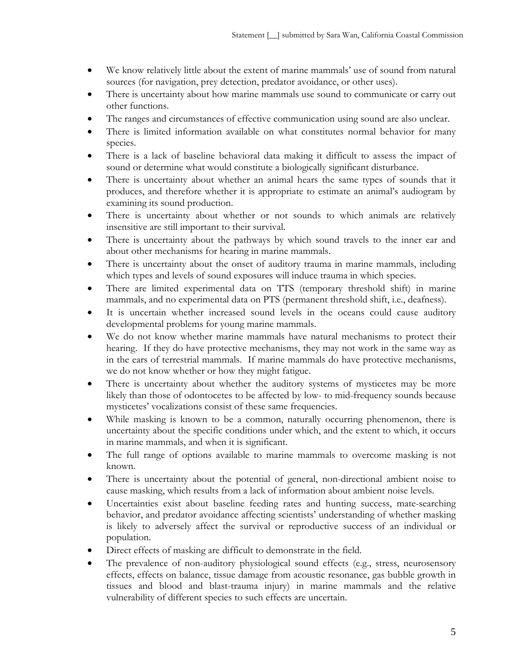- We know relatively little about the extent of marine mammals' use of sound from natural sources (for navigation, prey detection, predator avoidance, or other uses).
- There is uncertainty about how marine mammals use sound to communicate or carry out other functions.
- The ranges and circumstances of effective communication using sound are also unclear.
- There is limited information available on what constitutes normal behavior for many species.
- There is a lack of baseline behavioral data making it difficult to assess the impact of sound or determine what would constitute a biologically significant disturbance.
- There is uncertainty about whether an animal hears the same types of sounds that it produces, and therefore whether it is appropriate to estimate an animal's audiogram by examining its sound production.
- There is uncertainty about whether or not sounds to which animals are relatively insensitive are still important to their survival.
- There is uncertainty about the pathways by which sound travels to the inner ear and about other mechanisms for hearing in marine mammals.
- There is uncertainty about the onset of auditory trauma in marine mammals, including which types and levels of sound exposures will induce trauma in which species.
- There are limited experimental data on TTS (temporary threshold shift) in marine mammals, and no experimental data on PTS (permanent threshold shift, i.e., deafness).
- It is uncertain whether increased sound levels in the oceans could cause auditory developmental problems for young marine mammals.
- We do not know whether marine mammals have natural mechanisms to protect their hearing. If they do have protective mechanisms, they may not work in the same way as in the ears of terrestrial mammals. If marine mammals do have protective mechanisms, we do not know whether or how they might fatigue.
- There is uncertainty about whether the auditory systems of mysticetes may be more likely than those of odontocetes to be affected by low- to mid-frequency sounds because mysticetes' vocalizations consist of these same frequencies.
- While masking is known to be a common, naturally occurring phenomenon, there is uncertainty about the specific conditions under which, and the extent to which, it occurs in marine mammals, and when it is significant.
- The full range of options available to marine mammals to overcome masking is not known.
- There is uncertainty about the potential of general, non-directional ambient noise to cause masking, which results from a lack of information about ambient noise levels.
- Uncertainties exist about baseline feeding rates and hunting success, mate-searching behavior, and predator avoidance affecting scientists' understanding of whether masking is likely to adversely affect the survival or reproductive success of an individual or population.
- Direct effects of masking are difficult to demonstrate in the field.
- The prevalence of non-auditory physiological sound effects (e.g., stress, neurosensory effects, effects on balance, tissue damage from acoustic resonance, gas bubble growth in tissues and blood and blast-trauma injury) in marine mammals and the relative vulnerability of different species to such effects are uncertain.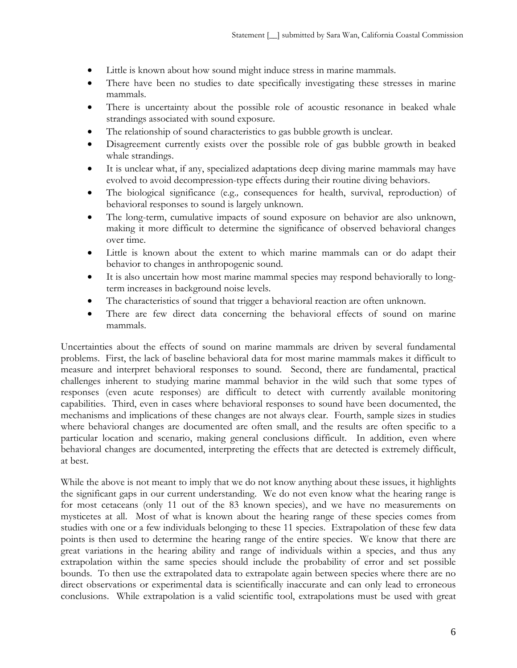- Little is known about how sound might induce stress in marine mammals.
- There have been no studies to date specifically investigating these stresses in marine mammals.
- There is uncertainty about the possible role of acoustic resonance in beaked whale strandings associated with sound exposure.
- The relationship of sound characteristics to gas bubble growth is unclear.
- Disagreement currently exists over the possible role of gas bubble growth in beaked whale strandings.
- It is unclear what, if any, specialized adaptations deep diving marine mammals may have evolved to avoid decompression-type effects during their routine diving behaviors.
- The biological significance (e.g.*,* consequences for health, survival, reproduction) of behavioral responses to sound is largely unknown.
- The long-term, cumulative impacts of sound exposure on behavior are also unknown, making it more difficult to determine the significance of observed behavioral changes over time.
- Little is known about the extent to which marine mammals can or do adapt their behavior to changes in anthropogenic sound.
- It is also uncertain how most marine mammal species may respond behaviorally to longterm increases in background noise levels.
- The characteristics of sound that trigger a behavioral reaction are often unknown.
- There are few direct data concerning the behavioral effects of sound on marine mammals.

Uncertainties about the effects of sound on marine mammals are driven by several fundamental problems. First, the lack of baseline behavioral data for most marine mammals makes it difficult to measure and interpret behavioral responses to sound. Second, there are fundamental, practical challenges inherent to studying marine mammal behavior in the wild such that some types of responses (even acute responses) are difficult to detect with currently available monitoring capabilities. Third, even in cases where behavioral responses to sound have been documented, the mechanisms and implications of these changes are not always clear. Fourth, sample sizes in studies where behavioral changes are documented are often small, and the results are often specific to a particular location and scenario, making general conclusions difficult. In addition, even where behavioral changes are documented, interpreting the effects that are detected is extremely difficult, at best.

While the above is not meant to imply that we do not know anything about these issues, it highlights the significant gaps in our current understanding. We do not even know what the hearing range is for most cetaceans (only 11 out of the 83 known species), and we have no measurements on mysticetes at all. Most of what is known about the hearing range of these species comes from studies with one or a few individuals belonging to these 11 species. Extrapolation of these few data points is then used to determine the hearing range of the entire species. We know that there are great variations in the hearing ability and range of individuals within a species, and thus any extrapolation within the same species should include the probability of error and set possible bounds. To then use the extrapolated data to extrapolate again between species where there are no direct observations or experimental data is scientifically inaccurate and can only lead to erroneous conclusions. While extrapolation is a valid scientific tool, extrapolations must be used with great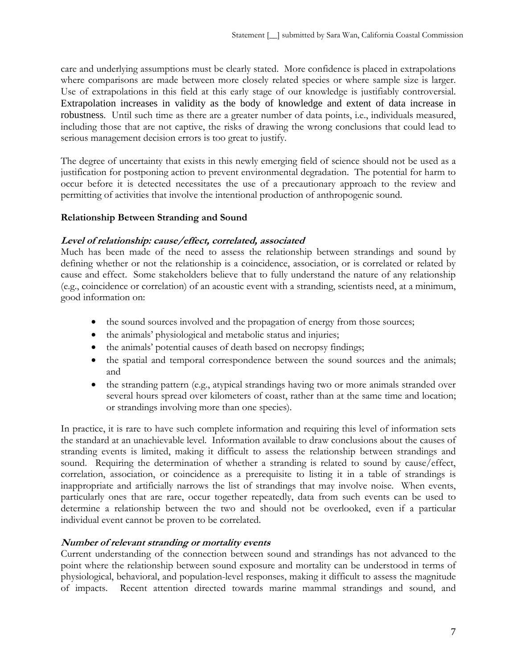care and underlying assumptions must be clearly stated. More confidence is placed in extrapolations where comparisons are made between more closely related species or where sample size is larger. Use of extrapolations in this field at this early stage of our knowledge is justifiably controversial. Extrapolation increases in validity as the body of knowledge and extent of data increase in robustness. Until such time as there are a greater number of data points, i.e., individuals measured, including those that are not captive, the risks of drawing the wrong conclusions that could lead to serious management decision errors is too great to justify.

The degree of uncertainty that exists in this newly emerging field of science should not be used as a justification for postponing action to prevent environmental degradation. The potential for harm to occur before it is detected necessitates the use of a precautionary approach to the review and permitting of activities that involve the intentional production of anthropogenic sound.

## **Relationship Between Stranding and Sound**

## **Level of relationship: cause/effect, correlated, associated**

Much has been made of the need to assess the relationship between strandings and sound by defining whether or not the relationship is a coincidence, association, or is correlated or related by cause and effect. Some stakeholders believe that to fully understand the nature of any relationship (e.g., coincidence or correlation) of an acoustic event with a stranding, scientists need, at a minimum, good information on:

- the sound sources involved and the propagation of energy from those sources;
- the animals' physiological and metabolic status and injuries;
- the animals' potential causes of death based on necropsy findings;
- the spatial and temporal correspondence between the sound sources and the animals; and
- the stranding pattern (e.g., atypical strandings having two or more animals stranded over several hours spread over kilometers of coast, rather than at the same time and location; or strandings involving more than one species).

In practice, it is rare to have such complete information and requiring this level of information sets the standard at an unachievable level. Information available to draw conclusions about the causes of stranding events is limited, making it difficult to assess the relationship between strandings and sound. Requiring the determination of whether a stranding is related to sound by cause/effect, correlation, association, or coincidence as a prerequisite to listing it in a table of strandings is inappropriate and artificially narrows the list of strandings that may involve noise. When events, particularly ones that are rare, occur together repeatedly, data from such events can be used to determine a relationship between the two and should not be overlooked, even if a particular individual event cannot be proven to be correlated.

# **Number of relevant stranding or mortality events**

Current understanding of the connection between sound and strandings has not advanced to the point where the relationship between sound exposure and mortality can be understood in terms of physiological, behavioral, and population-level responses, making it difficult to assess the magnitude of impacts. Recent attention directed towards marine mammal strandings and sound, and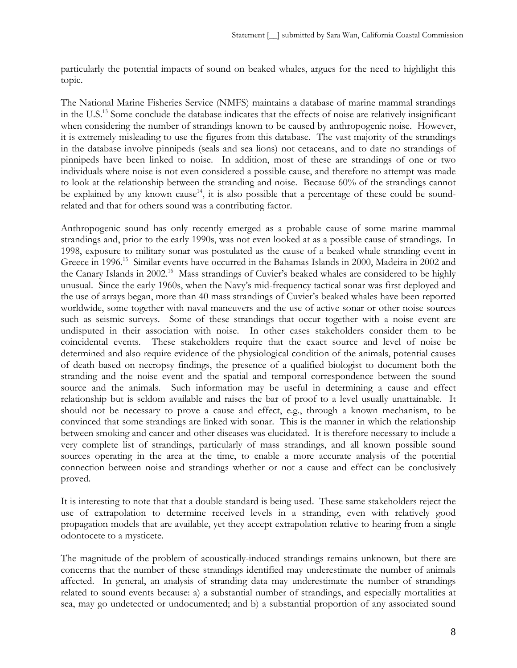particularly the potential impacts of sound on beaked whales, argues for the need to highlight this topic.

The National Marine Fisheries Service (NMFS) maintains a database of marine mammal strandings in the U.S.13 Some conclude the database indicates that the effects of noise are relatively insignificant when considering the number of strandings known to be caused by anthropogenic noise. However, it is extremely misleading to use the figures from this database. The vast majority of the strandings in the database involve pinnipeds (seals and sea lions) not cetaceans, and to date no strandings of pinnipeds have been linked to noise. In addition, most of these are strandings of one or two individuals where noise is not even considered a possible cause, and therefore no attempt was made to look at the relationship between the stranding and noise. Because 60% of the strandings cannot be explained by any known cause<sup>14</sup>, it is also possible that a percentage of these could be soundrelated and that for others sound was a contributing factor.

Anthropogenic sound has only recently emerged as a probable cause of some marine mammal strandings and, prior to the early 1990s, was not even looked at as a possible cause of strandings. In 1998, exposure to military sonar was postulated as the cause of a beaked whale stranding event in Greece in 1996.<sup>15</sup> Similar events have occurred in the Bahamas Islands in 2000, Madeira in 2002 and the Canary Islands in 2002.<sup>16</sup> Mass strandings of Cuvier's beaked whales are considered to be highly unusual. Since the early 1960s, when the Navy's mid-frequency tactical sonar was first deployed and the use of arrays began, more than 40 mass strandings of Cuvier's beaked whales have been reported worldwide, some together with naval maneuvers and the use of active sonar or other noise sources such as seismic surveys. Some of these strandings that occur together with a noise event are undisputed in their association with noise. In other cases stakeholders consider them to be coincidental events. These stakeholders require that the exact source and level of noise be determined and also require evidence of the physiological condition of the animals, potential causes of death based on necropsy findings, the presence of a qualified biologist to document both the stranding and the noise event and the spatial and temporal correspondence between the sound source and the animals. Such information may be useful in determining a cause and effect relationship but is seldom available and raises the bar of proof to a level usually unattainable. It should not be necessary to prove a cause and effect, e.g., through a known mechanism, to be convinced that some strandings are linked with sonar. This is the manner in which the relationship between smoking and cancer and other diseases was elucidated. It is therefore necessary to include a very complete list of strandings, particularly of mass strandings, and all known possible sound sources operating in the area at the time, to enable a more accurate analysis of the potential connection between noise and strandings whether or not a cause and effect can be conclusively proved.

It is interesting to note that that a double standard is being used. These same stakeholders reject the use of extrapolation to determine received levels in a stranding, even with relatively good propagation models that are available, yet they accept extrapolation relative to hearing from a single odontocete to a mysticete.

The magnitude of the problem of acoustically-induced strandings remains unknown, but there are concerns that the number of these strandings identified may underestimate the number of animals affected. In general, an analysis of stranding data may underestimate the number of strandings related to sound events because: a) a substantial number of strandings, and especially mortalities at sea, may go undetected or undocumented; and b) a substantial proportion of any associated sound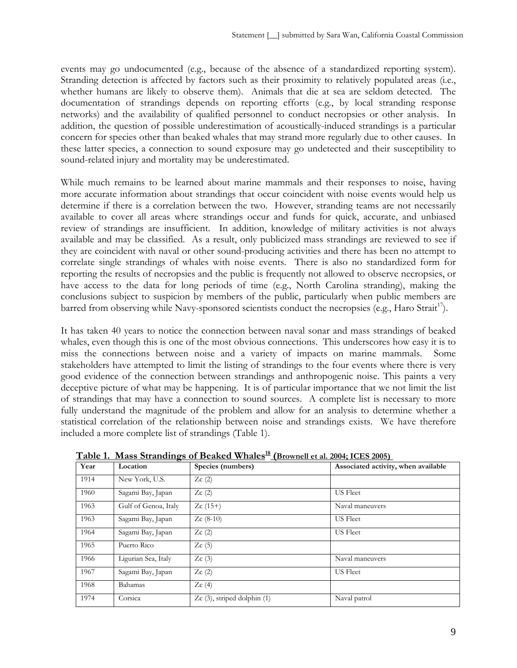events may go undocumented (e.g., because of the absence of a standardized reporting system). Stranding detection is affected by factors such as their proximity to relatively populated areas (i.e., whether humans are likely to observe them). Animals that die at sea are seldom detected. The documentation of strandings depends on reporting efforts (e.g., by local stranding response networks) and the availability of qualified personnel to conduct necropsies or other analysis. In addition, the question of possible underestimation of acoustically-induced strandings is a particular concern for species other than beaked whales that may strand more regularly due to other causes. In these latter species, a connection to sound exposure may go undetected and their susceptibility to sound-related injury and mortality may be underestimated.

While much remains to be learned about marine mammals and their responses to noise, having more accurate information about strandings that occur coincident with noise events would help us determine if there is a correlation between the two. However, stranding teams are not necessarily available to cover all areas where strandings occur and funds for quick, accurate, and unbiased review of strandings are insufficient. In addition, knowledge of military activities is not always available and may be classified. As a result, only publicized mass strandings are reviewed to see if they are coincident with naval or other sound-producing activities and there has been no attempt to correlate single strandings of whales with noise events. There is also no standardized form for reporting the results of necropsies and the public is frequently not allowed to observe necropsies, or have access to the data for long periods of time (e.g., North Carolina stranding), making the conclusions subject to suspicion by members of the public, particularly when public members are barred from observing while Navy-sponsored scientists conduct the necropsies (e.g., Haro Strait<sup>17</sup>).

It has taken 40 years to notice the connection between naval sonar and mass strandings of beaked whales, even though this is one of the most obvious connections. This underscores how easy it is to miss the connections between noise and a variety of impacts on marine mammals. Some stakeholders have attempted to limit the listing of strandings to the four events where there is very good evidence of the connection between strandings and anthropogenic noise. This paints a very deceptive picture of what may be happening. It is of particular importance that we not limit the list of strandings that may have a connection to sound sources. A complete list is necessary to more fully understand the magnitude of the problem and allow for an analysis to determine whether a statistical correlation of the relationship between noise and strandings exists. We have therefore included a more complete list of strandings (Table 1).

| Year | ╾<br>Location        | Species (numbers)               | Associated activity, when available |
|------|----------------------|---------------------------------|-------------------------------------|
| 1914 | New York, U.S.       | Zc(2)                           |                                     |
| 1960 | Sagami Bay, Japan    | Zc(2)                           | <b>US</b> Fleet                     |
| 1963 | Gulf of Genoa, Italy | $Zc(15+)$                       | Naval maneuvers                     |
| 1963 | Sagami Bay, Japan    | $Zc(8-10)$                      | <b>US</b> Fleet                     |
| 1964 | Sagami Bay, Japan    | Zc(2)                           | <b>US</b> Fleet                     |
| 1965 | Puerto Rico          | Zc(5)                           |                                     |
| 1966 | Ligurian Sea, Italy  | Zc(3)                           | Naval maneuvers                     |
| 1967 | Sagami Bay, Japan    | Zc(2)                           | <b>US</b> Fleet                     |
| 1968 | Bahamas              | Zc(4)                           |                                     |
| 1974 | Corsica              | $Zc(3)$ , striped dolphin $(1)$ | Naval patrol                        |

**Table 1. Mass Strandings of Beaked Whales 18 (Brownell et al. 2004; ICES 2005)**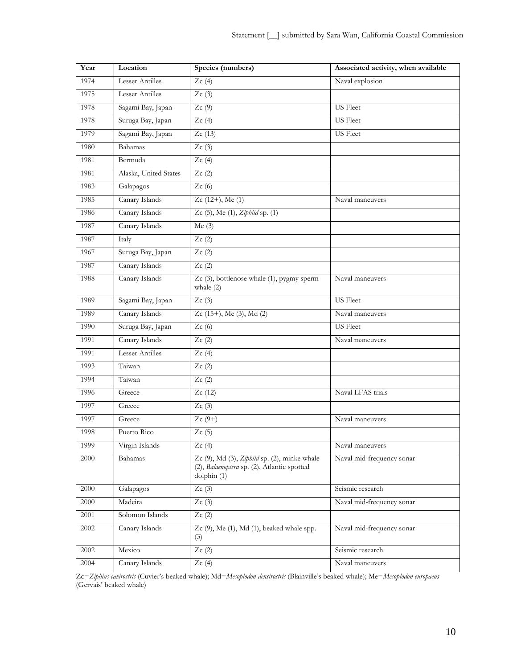| Year | Location               | Species (numbers)                                                                                          | Associated activity, when available |  |
|------|------------------------|------------------------------------------------------------------------------------------------------------|-------------------------------------|--|
| 1974 | Lesser Antilles        | Zc(4)                                                                                                      | Naval explosion                     |  |
| 1975 | Lesser Antilles        | Zc(3)                                                                                                      |                                     |  |
| 1978 | Sagami Bay, Japan      | Zc(9)                                                                                                      | <b>US</b> Fleet                     |  |
| 1978 | Suruga Bay, Japan      | Zc(4)                                                                                                      | <b>US</b> Fleet                     |  |
| 1979 | Sagami Bay, Japan      | Zc(13)                                                                                                     | <b>US</b> Fleet                     |  |
| 1980 | Bahamas                | Zc(3)                                                                                                      |                                     |  |
| 1981 | Bermuda                | Zc(4)                                                                                                      |                                     |  |
| 1981 | Alaska, United States  | Zc(2)                                                                                                      |                                     |  |
| 1983 | Galapagos              | Zc(6)                                                                                                      |                                     |  |
| 1985 | Canary Islands         | $Zc(12+), Me(1)$                                                                                           | Naval maneuvers                     |  |
| 1986 | Canary Islands         | Zc $(5)$ , Me $(1)$ , Ziphiid sp. $(1)$                                                                    |                                     |  |
| 1987 | Canary Islands         | Me(3)                                                                                                      |                                     |  |
| 1987 | Italy                  | Zc(2)                                                                                                      |                                     |  |
| 1967 | Suruga Bay, Japan      | Zc(2)                                                                                                      |                                     |  |
| 1987 | Canary Islands         | Zc(2)                                                                                                      |                                     |  |
| 1988 | Canary Islands         | $Zc$ (3), bottlenose whale (1), pygmy sperm<br>whale $(2)$                                                 | Naval maneuvers                     |  |
| 1989 | Sagami Bay, Japan      | Zc(3)                                                                                                      | <b>US</b> Fleet                     |  |
| 1989 | Canary Islands         | Zc (15+), Me (3), Md (2)                                                                                   | Naval maneuvers                     |  |
| 1990 | Suruga Bay, Japan      | Zc(6)                                                                                                      | <b>US</b> Fleet                     |  |
| 1991 | Canary Islands         | Zc(2)                                                                                                      | Naval maneuvers                     |  |
| 1991 | <b>Lesser Antilles</b> | Zc(4)                                                                                                      |                                     |  |
| 1993 | Taiwan                 | Zc(2)                                                                                                      |                                     |  |
| 1994 | Taiwan                 | Zc(2)                                                                                                      |                                     |  |
| 1996 | Greece                 | Zc(12)                                                                                                     | Naval LFAS trials                   |  |
| 1997 | Greece                 | Zc(3)                                                                                                      |                                     |  |
| 1997 | Greece                 | $Zc(9+)$                                                                                                   | Naval maneuvers                     |  |
| 1998 | Puerto Rico            | Zc(5)                                                                                                      |                                     |  |
| 1999 | Virgin Islands         | Zc(4)                                                                                                      | Naval maneuvers                     |  |
| 2000 | Bahamas                | Zc (9), Md (3), Ziphiid sp. (2), minke whale<br>(2), Balaenoptera sp. (2), Atlantic spotted<br>dolphin (1) | Naval mid-frequency sonar           |  |
| 2000 | Galapagos              | Zc(3)                                                                                                      | Seismic research                    |  |
| 2000 | Madeira                | Zc(3)                                                                                                      | Naval mid-frequency sonar           |  |
| 2001 | Solomon Islands        | Zc(2)                                                                                                      |                                     |  |
| 2002 | Canary Islands         | $Zc$ (9), Me (1), Md (1), beaked whale spp.<br>(3)                                                         | Naval mid-frequency sonar           |  |
| 2002 | Mexico                 | Zc(2)                                                                                                      | Seismic research                    |  |
| 2004 | Canary Islands         | Zc(4)                                                                                                      | Naval maneuvers                     |  |

Zc=*Ziphius cavirostris* (Cuvier's beaked whale); Md=*Mesoplodon densirostris* (Blainville's beaked whale); Me=*Mesoplodon europaeus* (Gervais' beaked whale)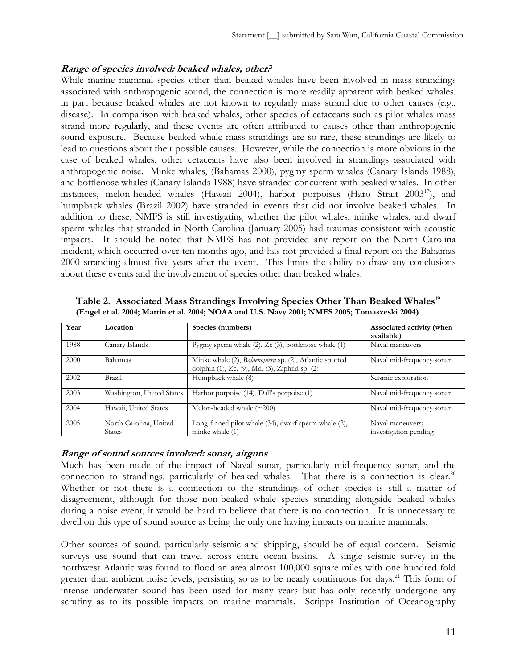### **Range of species involved: beaked whales, other?**

While marine mammal species other than beaked whales have been involved in mass strandings associated with anthropogenic sound, the connection is more readily apparent with beaked whales, in part because beaked whales are not known to regularly mass strand due to other causes (e.g., disease). In comparison with beaked whales, other species of cetaceans such as pilot whales mass strand more regularly, and these events are often attributed to causes other than anthropogenic sound exposure. Because beaked whale mass strandings are so rare, these strandings are likely to lead to questions about their possible causes. However, while the connection is more obvious in the case of beaked whales, other cetaceans have also been involved in strandings associated with anthropogenic noise. Minke whales, (Bahamas 2000), pygmy sperm whales (Canary Islands 1988), and bottlenose whales (Canary Islands 1988) have stranded concurrent with beaked whales. In other instances, melon-headed whales (Hawaii 2004), harbor porpoises (Haro Strait  $2003^{17}$ ), and humpback whales (Brazil 2002) have stranded in events that did not involve beaked whales. In addition to these, NMFS is still investigating whether the pilot whales, minke whales, and dwarf sperm whales that stranded in North Carolina (January 2005) had traumas consistent with acoustic impacts. It should be noted that NMFS has not provided any report on the North Carolina incident, which occurred over ten months ago, and has not provided a final report on the Bahamas 2000 stranding almost five years after the event. This limits the ability to draw any conclusions about these events and the involvement of species other than beaked whales.

| Year | Location                                | Species (numbers)                                                                                         | Associated activity (when<br>available)   |
|------|-----------------------------------------|-----------------------------------------------------------------------------------------------------------|-------------------------------------------|
| 1988 | Canary Islands                          | Pygmy sperm whale $(2)$ , $Zc(3)$ , bottlenose whale $(1)$                                                | Naval maneuvers                           |
| 2000 | <b>Bahamas</b>                          | Minke whale (2), Balaenoptera sp. (2), Atlantic spotted<br>dolphin (1), Zc. (9), Md. (3), Ziphiid sp. (2) | Naval mid-frequency sonar                 |
| 2002 | <b>Brazil</b>                           | Humpback whale (8)                                                                                        | Seismic exploration                       |
| 2003 | Washington, United States               | Harbor porpoise (14), Dall's porpoise (1)                                                                 | Naval mid-frequency sonar                 |
| 2004 | Hawaii, United States                   | Melon-headed whale $(\sim 200)$                                                                           | Naval mid-frequency sonar                 |
| 2005 | North Carolina, United<br><b>States</b> | Long-finned pilot whale (34), dwarf sperm whale (2),<br>minke whale (1)                                   | Naval maneuvers;<br>investigation pending |

Table 2. Associated Mass Strandings Involving Species Other Than Beaked Whales<sup>19</sup> **(Engel et al. 2004; Martin et al. 2004; NOAA and U.S. Navy 2001; NMFS 2005; Tomaszeski 2004)**

### **Range of sound sources involved: sonar, airguns**

Much has been made of the impact of Naval sonar, particularly mid-frequency sonar, and the connection to strandings, particularly of beaked whales. That there is a connection is clear.<sup>20</sup> Whether or not there is a connection to the strandings of other species is still a matter of disagreement, although for those non-beaked whale species stranding alongside beaked whales during a noise event, it would be hard to believe that there is no connection. It is unnecessary to dwell on this type of sound source as being the only one having impacts on marine mammals.

Other sources of sound, particularly seismic and shipping, should be of equal concern. Seismic surveys use sound that can travel across entire ocean basins. A single seismic survey in the northwest Atlantic was found to flood an area almost 100,000 square miles with one hundred fold greater than ambient noise levels, persisting so as to be nearly continuous for days.<sup>21</sup> This form of intense underwater sound has been used for many years but has only recently undergone any scrutiny as to its possible impacts on marine mammals. Scripps Institution of Oceanography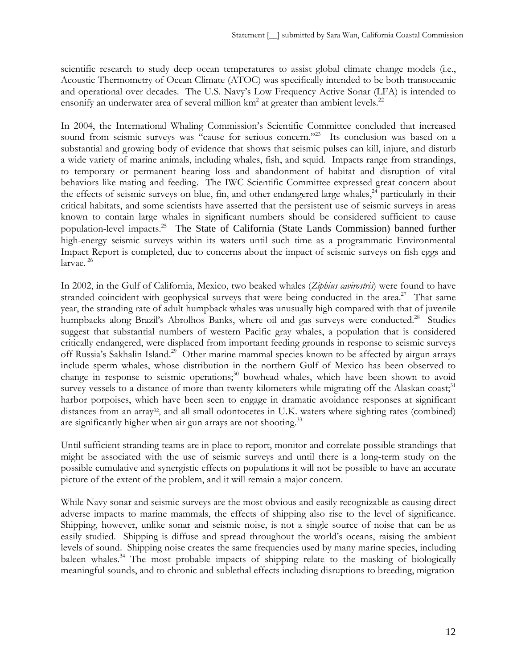scientific research to study deep ocean temperatures to assist global climate change models (i.e., Acoustic Thermometry of Ocean Climate (ATOC) was specifically intended to be both transoceanic and operational over decades. The U.S. Navy's Low Frequency Active Sonar (LFA) is intended to ensonify an underwater area of several million  $km^2$  at greater than ambient levels.<sup>22</sup>

In 2004, the International Whaling Commission's Scientific Committee concluded that increased sound from seismic surveys was "cause for serious concern."<sup>23</sup> Its conclusion was based on a substantial and growing body of evidence that shows that seismic pulses can kill, injure, and disturb a wide variety of marine animals, including whales, fish, and squid. Impacts range from strandings, to temporary or permanent hearing loss and abandonment of habitat and disruption of vital behaviors like mating and feeding. The IWC Scientific Committee expressed great concern about the effects of seismic surveys on blue, fin, and other endangered large whales,<sup>24</sup> particularly in their critical habitats, and some scientists have asserted that the persistent use of seismic surveys in areas known to contain large whales in significant numbers should be considered sufficient to cause population-level impacts.<sup>25</sup> The State of California (State Lands Commission) banned further high-energy seismic surveys within its waters until such time as a programmatic Environmental Impact Report is completed, due to concerns about the impact of seismic surveys on fish eggs and larvae.<sup>26</sup>

In 2002, in the Gulf of California, Mexico, two beaked whales (*Ziphius cavirostris*) were found to have stranded coincident with geophysical surveys that were being conducted in the area.<sup>27</sup> That same year, the stranding rate of adult humpback whales was unusually high compared with that of juvenile humpbacks along Brazil's Abrolhos Banks, where oil and gas surveys were conducted.<sup>28</sup> Studies suggest that substantial numbers of western Pacific gray whales, a population that is considered critically endangered, were displaced from important feeding grounds in response to seismic surveys off Russia's Sakhalin Island.<sup>29</sup> Other marine mammal species known to be affected by airgun arrays include sperm whales, whose distribution in the northern Gulf of Mexico has been observed to change in response to seismic operations;<sup>30</sup> bowhead whales, which have been shown to avoid survey vessels to a distance of more than twenty kilometers while migrating off the Alaskan coast;<sup>31</sup> harbor porpoises, which have been seen to engage in dramatic avoidance responses at significant distances from an array<sup>32</sup>, and all small odontocetes in U.K. waters where sighting rates (combined) are significantly higher when air gun arrays are not shooting.<sup>33</sup>

Until sufficient stranding teams are in place to report, monitor and correlate possible strandings that might be associated with the use of seismic surveys and until there is a long-term study on the possible cumulative and synergistic effects on populations it will not be possible to have an accurate picture of the extent of the problem, and it will remain a major concern.

While Navy sonar and seismic surveys are the most obvious and easily recognizable as causing direct adverse impacts to marine mammals, the effects of shipping also rise to the level of significance. Shipping, however, unlike sonar and seismic noise, is not a single source of noise that can be as easily studied. Shipping is diffuse and spread throughout the world's oceans, raising the ambient levels of sound. Shipping noise creates the same frequencies used by many marine species, including baleen whales.<sup>34</sup> The most probable impacts of shipping relate to the masking of biologically meaningful sounds, and to chronic and sublethal effects including disruptions to breeding, migration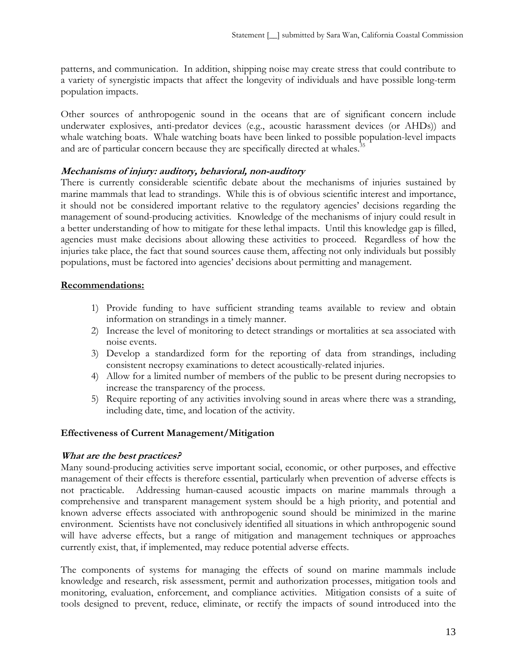patterns, and communication. In addition, shipping noise may create stress that could contribute to a variety of synergistic impacts that affect the longevity of individuals and have possible long-term population impacts.

Other sources of anthropogenic sound in the oceans that are of significant concern include underwater explosives, anti-predator devices (e.g., acoustic harassment devices (or AHDs)) and whale watching boats. Whale watching boats have been linked to possible population-level impacts and are of particular concern because they are specifically directed at whales.<sup>3</sup>

## **Mechanisms of injury: auditory, behavioral, non-auditory**

There is currently considerable scientific debate about the mechanisms of injuries sustained by marine mammals that lead to strandings. While this is of obvious scientific interest and importance, it should not be considered important relative to the regulatory agencies' decisions regarding the management of sound-producing activities. Knowledge of the mechanisms of injury could result in a better understanding of how to mitigate for these lethal impacts. Until this knowledge gap is filled, agencies must make decisions about allowing these activities to proceed. Regardless of how the injuries take place, the fact that sound sources cause them, affecting not only individuals but possibly populations, must be factored into agencies' decisions about permitting and management.

### **Recommendations:**

- 1) Provide funding to have sufficient stranding teams available to review and obtain information on strandings in a timely manner.
- 2) Increase the level of monitoring to detect strandings or mortalities at sea associated with noise events.
- 3) Develop a standardized form for the reporting of data from strandings, including consistent necropsy examinations to detect acoustically-related injuries.
- 4) Allow for a limited number of members of the public to be present during necropsies to increase the transparency of the process.
- 5) Require reporting of any activities involving sound in areas where there was a stranding, including date, time, and location of the activity.

# **Effectiveness of Current Management/Mitigation**

### **What are the best practices?**

Many sound-producing activities serve important social, economic, or other purposes, and effective management of their effects is therefore essential, particularly when prevention of adverse effects is not practicable. Addressing human-caused acoustic impacts on marine mammals through a comprehensive and transparent management system should be a high priority, and potential and known adverse effects associated with anthropogenic sound should be minimized in the marine environment. Scientists have not conclusively identified all situations in which anthropogenic sound will have adverse effects, but a range of mitigation and management techniques or approaches currently exist, that, if implemented, may reduce potential adverse effects.

The components of systems for managing the effects of sound on marine mammals include knowledge and research, risk assessment, permit and authorization processes, mitigation tools and monitoring, evaluation, enforcement, and compliance activities. Mitigation consists of a suite of tools designed to prevent, reduce, eliminate, or rectify the impacts of sound introduced into the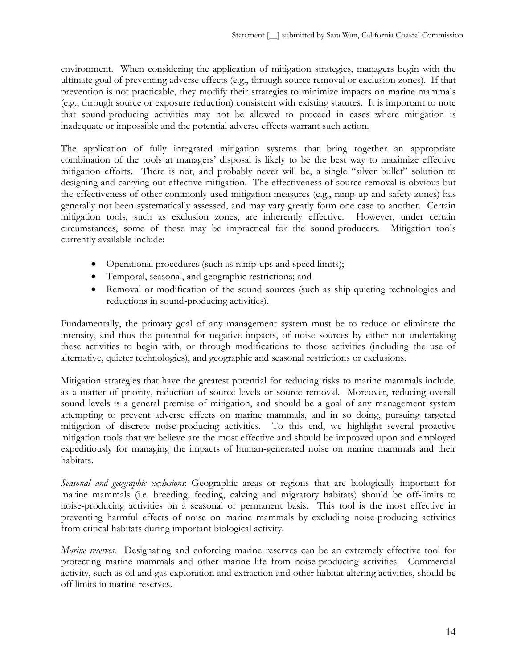environment. When considering the application of mitigation strategies, managers begin with the ultimate goal of preventing adverse effects (e.g., through source removal or exclusion zones). If that prevention is not practicable, they modify their strategies to minimize impacts on marine mammals (e.g., through source or exposure reduction) consistent with existing statutes. It is important to note that sound-producing activities may not be allowed to proceed in cases where mitigation is inadequate or impossible and the potential adverse effects warrant such action.

The application of fully integrated mitigation systems that bring together an appropriate combination of the tools at managers' disposal is likely to be the best way to maximize effective mitigation efforts. There is not, and probably never will be, a single "silver bullet" solution to designing and carrying out effective mitigation. The effectiveness of source removal is obvious but the effectiveness of other commonly used mitigation measures (e.g., ramp-up and safety zones) has generally not been systematically assessed, and may vary greatly form one case to another. Certain mitigation tools, such as exclusion zones, are inherently effective. However, under certain circumstances, some of these may be impractical for the sound-producers. Mitigation tools currently available include:

- Operational procedures (such as ramp-ups and speed limits);
- Temporal, seasonal, and geographic restrictions; and
- Removal or modification of the sound sources (such as ship-quieting technologies and reductions in sound-producing activities).

Fundamentally, the primary goal of any management system must be to reduce or eliminate the intensity, and thus the potential for negative impacts, of noise sources by either not undertaking these activities to begin with, or through modifications to those activities (including the use of alternative, quieter technologies), and geographic and seasonal restrictions or exclusions.

Mitigation strategies that have the greatest potential for reducing risks to marine mammals include, as a matter of priority, reduction of source levels or source removal. Moreover, reducing overall sound levels is a general premise of mitigation, and should be a goal of any management system attempting to prevent adverse effects on marine mammals, and in so doing, pursuing targeted mitigation of discrete noise-producing activities. To this end, we highlight several proactive mitigation tools that we believe are the most effective and should be improved upon and employed expeditiously for managing the impacts of human-generated noise on marine mammals and their habitats.

*Seasonal and geographic exclusions*: Geographic areas or regions that are biologically important for marine mammals (i.e. breeding, feeding, calving and migratory habitats) should be off-limits to noise-producing activities on a seasonal or permanent basis. This tool is the most effective in preventing harmful effects of noise on marine mammals by excluding noise-producing activities from critical habitats during important biological activity.

*Marine reserves*. Designating and enforcing marine reserves can be an extremely effective tool for protecting marine mammals and other marine life from noise-producing activities. Commercial activity, such as oil and gas exploration and extraction and other habitat-altering activities, should be off limits in marine reserves.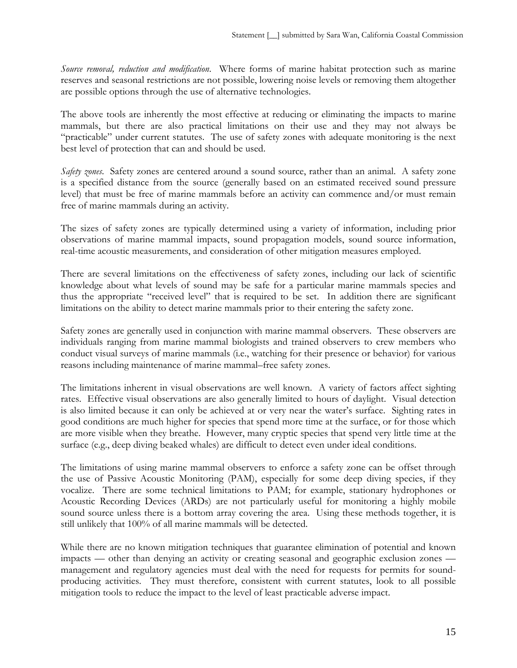*Source removal, reduction and modification*. Where forms of marine habitat protection such as marine reserves and seasonal restrictions are not possible, lowering noise levels or removing them altogether are possible options through the use of alternative technologies.

The above tools are inherently the most effective at reducing or eliminating the impacts to marine mammals, but there are also practical limitations on their use and they may not always be "practicable" under current statutes. The use of safety zones with adequate monitoring is the next best level of protection that can and should be used.

*Safety zones*.Safety zones are centered around a sound source, rather than an animal. A safety zone is a specified distance from the source (generally based on an estimated received sound pressure level) that must be free of marine mammals before an activity can commence and/or must remain free of marine mammals during an activity.

The sizes of safety zones are typically determined using a variety of information, including prior observations of marine mammal impacts, sound propagation models, sound source information, real-time acoustic measurements, and consideration of other mitigation measures employed.

There are several limitations on the effectiveness of safety zones, including our lack of scientific knowledge about what levels of sound may be safe for a particular marine mammals species and thus the appropriate "received level" that is required to be set. In addition there are significant limitations on the ability to detect marine mammals prior to their entering the safety zone.

Safety zones are generally used in conjunction with marine mammal observers. These observers are individuals ranging from marine mammal biologists and trained observers to crew members who conduct visual surveys of marine mammals (i.e., watching for their presence or behavior) for various reasons including maintenance of marine mammal–free safety zones.

The limitations inherent in visual observations are well known. A variety of factors affect sighting rates. Effective visual observations are also generally limited to hours of daylight. Visual detection is also limited because it can only be achieved at or very near the water's surface. Sighting rates in good conditions are much higher for species that spend more time at the surface, or for those which are more visible when they breathe. However, many cryptic species that spend very little time at the surface (e.g., deep diving beaked whales) are difficult to detect even under ideal conditions.

The limitations of using marine mammal observers to enforce a safety zone can be offset through the use of Passive Acoustic Monitoring (PAM), especially for some deep diving species, if they vocalize. There are some technical limitations to PAM; for example, stationary hydrophones or Acoustic Recording Devices (ARDs) are not particularly useful for monitoring a highly mobile sound source unless there is a bottom array covering the area. Using these methods together, it is still unlikely that 100% of all marine mammals will be detected.

While there are no known mitigation techniques that guarantee elimination of potential and known impacts — other than denying an activity or creating seasonal and geographic exclusion zones management and regulatory agencies must deal with the need for requests for permits for soundproducing activities. They must therefore, consistent with current statutes, look to all possible mitigation tools to reduce the impact to the level of least practicable adverse impact.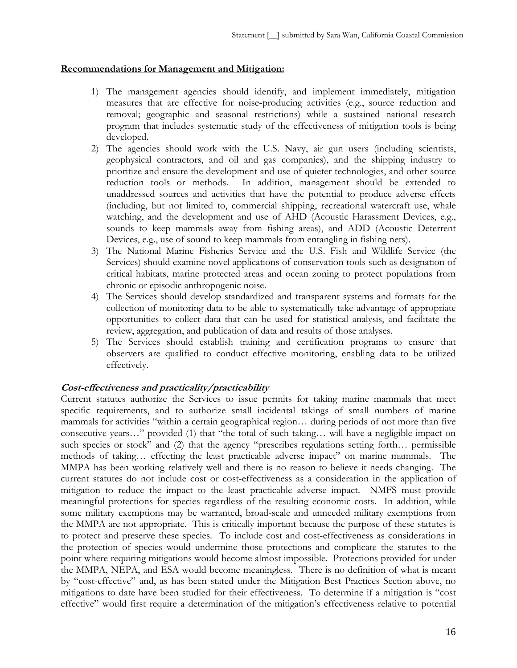#### **Recommendations for Management and Mitigation:**

- 1) The management agencies should identify, and implement immediately, mitigation measures that are effective for noise-producing activities (e.g., source reduction and removal; geographic and seasonal restrictions) while a sustained national research program that includes systematic study of the effectiveness of mitigation tools is being developed.
- 2) The agencies should work with the U.S. Navy, air gun users (including scientists, geophysical contractors, and oil and gas companies), and the shipping industry to prioritize and ensure the development and use of quieter technologies, and other source reduction tools or methods. In addition, management should be extended to unaddressed sources and activities that have the potential to produce adverse effects (including, but not limited to, commercial shipping, recreational watercraft use, whale watching, and the development and use of AHD (Acoustic Harassment Devices, e.g., sounds to keep mammals away from fishing areas), and ADD (Acoustic Deterrent Devices, e.g., use of sound to keep mammals from entangling in fishing nets).
- 3) The National Marine Fisheries Service and the U.S. Fish and Wildlife Service (the Services) should examine novel applications of conservation tools such as designation of critical habitats, marine protected areas and ocean zoning to protect populations from chronic or episodic anthropogenic noise.
- 4) The Services should develop standardized and transparent systems and formats for the collection of monitoring data to be able to systematically take advantage of appropriate opportunities to collect data that can be used for statistical analysis, and facilitate the review, aggregation, and publication of data and results of those analyses.
- 5) The Services should establish training and certification programs to ensure that observers are qualified to conduct effective monitoring, enabling data to be utilized effectively.

### **Cost-effectiveness and practicality/practicability**

Current statutes authorize the Services to issue permits for taking marine mammals that meet specific requirements, and to authorize small incidental takings of small numbers of marine mammals for activities "within a certain geographical region… during periods of not more than five consecutive years…" provided (1) that "the total of such taking… will have a negligible impact on such species or stock" and (2) that the agency "prescribes regulations setting forth… permissible methods of taking… effecting the least practicable adverse impact" on marine mammals. The MMPA has been working relatively well and there is no reason to believe it needs changing. The current statutes do not include cost or cost-effectiveness as a consideration in the application of mitigation to reduce the impact to the least practicable adverse impact. NMFS must provide meaningful protections for species regardless of the resulting economic costs. In addition, while some military exemptions may be warranted, broad-scale and unneeded military exemptions from the MMPA are not appropriate. This is critically important because the purpose of these statutes is to protect and preserve these species. To include cost and cost-effectiveness as considerations in the protection of species would undermine those protections and complicate the statutes to the point where requiring mitigations would become almost impossible. Protections provided for under the MMPA, NEPA, and ESA would become meaningless. There is no definition of what is meant by "cost-effective" and, as has been stated under the Mitigation Best Practices Section above, no mitigations to date have been studied for their effectiveness. To determine if a mitigation is "cost effective" would first require a determination of the mitigation's effectiveness relative to potential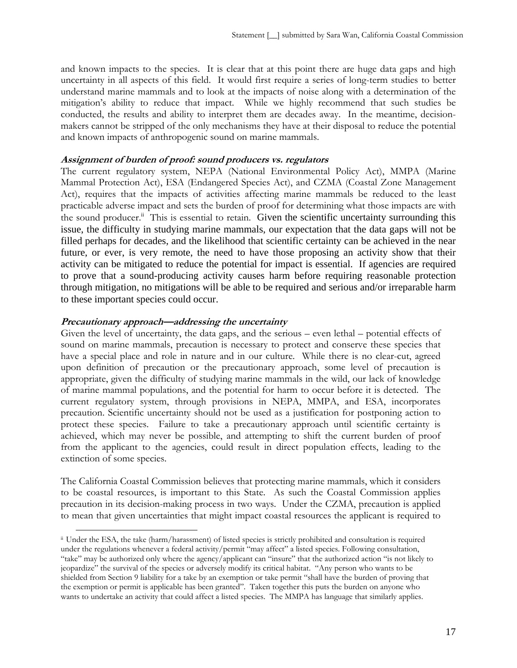and known impacts to the species. It is clear that at this point there are huge data gaps and high uncertainty in all aspects of this field. It would first require a series of long-term studies to better understand marine mammals and to look at the impacts of noise along with a determination of the mitigation's ability to reduce that impact. While we highly recommend that such studies be conducted, the results and ability to interpret them are decades away. In the meantime, decisionmakers cannot be stripped of the only mechanisms they have at their disposal to reduce the potential and known impacts of anthropogenic sound on marine mammals.

#### **Assignment of burden of proof: sound producers vs. regulators**

The current regulatory system, NEPA (National Environmental Policy Act), MMPA (Marine Mammal Protection Act), ESA (Endangered Species Act), and CZMA (Coastal Zone Management Act), requires that the impacts of activities affecting marine mammals be reduced to the least practicable adverse impact and sets the burden of proof for determining what those impacts are with the sound producer.<sup>ii</sup> This is essential to retain. Given the scientific uncertainty surrounding this issue, the difficulty in studying marine mammals, our expectation that the data gaps will not be filled perhaps for decades, and the likelihood that scientific certainty can be achieved in the near future, or ever, is very remote, the need to have those proposing an activity show that their activity can be mitigated to reduce the potential for impact is essential. If agencies are required to prove that a sound-producing activity causes harm before requiring reasonable protection through mitigation, no mitigations will be able to be required and serious and/or irreparable harm to these important species could occur.

#### **Precautionary approach—addressing the uncertainty**

 $\overline{a}$ 

Given the level of uncertainty, the data gaps, and the serious – even lethal – potential effects of sound on marine mammals, precaution is necessary to protect and conserve these species that have a special place and role in nature and in our culture. While there is no clear-cut, agreed upon definition of precaution or the precautionary approach, some level of precaution is appropriate, given the difficulty of studying marine mammals in the wild, our lack of knowledge of marine mammal populations, and the potential for harm to occur before it is detected. The current regulatory system, through provisions in NEPA, MMPA, and ESA, incorporates precaution. Scientific uncertainty should not be used as a justification for postponing action to protect these species. Failure to take a precautionary approach until scientific certainty is achieved, which may never be possible, and attempting to shift the current burden of proof from the applicant to the agencies, could result in direct population effects, leading to the extinction of some species.

The California Coastal Commission believes that protecting marine mammals, which it considers to be coastal resources, is important to this State. As such the Coastal Commission applies precaution in its decision-making process in two ways. Under the CZMA, precaution is applied to mean that given uncertainties that might impact coastal resources the applicant is required to

ii Under the ESA, the take (harm/harassment) of listed species is strictly prohibited and consultation is required under the regulations whenever a federal activity/permit "may affect" a listed species. Following consultation, "take" may be authorized only where the agency/applicant can "insure" that the authorized action "is not likely to jeopardize" the survival of the species or adversely modify its critical habitat. "Any person who wants to be shielded from Section 9 liability for a take by an exemption or take permit "shall have the burden of proving that the exemption or permit is applicable has been granted". Taken together this puts the burden on anyone who wants to undertake an activity that could affect a listed species. The MMPA has language that similarly applies.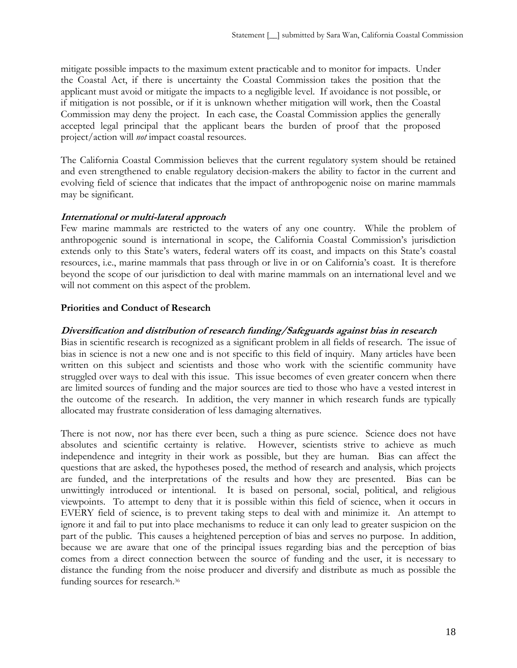mitigate possible impacts to the maximum extent practicable and to monitor for impacts. Under the Coastal Act, if there is uncertainty the Coastal Commission takes the position that the applicant must avoid or mitigate the impacts to a negligible level. If avoidance is not possible, or if mitigation is not possible, or if it is unknown whether mitigation will work, then the Coastal Commission may deny the project. In each case, the Coastal Commission applies the generally accepted legal principal that the applicant bears the burden of proof that the proposed project/action will *not* impact coastal resources.

The California Coastal Commission believes that the current regulatory system should be retained and even strengthened to enable regulatory decision-makers the ability to factor in the current and evolving field of science that indicates that the impact of anthropogenic noise on marine mammals may be significant.

#### **International or multi-lateral approach**

Few marine mammals are restricted to the waters of any one country. While the problem of anthropogenic sound is international in scope, the California Coastal Commission's jurisdiction extends only to this State's waters, federal waters off its coast, and impacts on this State's coastal resources, i.e., marine mammals that pass through or live in or on California's coast. It is therefore beyond the scope of our jurisdiction to deal with marine mammals on an international level and we will not comment on this aspect of the problem.

#### **Priorities and Conduct of Research**

#### **Diversification and distribution of research funding/Safeguards against bias in research**

Bias in scientific research is recognized as a significant problem in all fields of research. The issue of bias in science is not a new one and is not specific to this field of inquiry. Many articles have been written on this subject and scientists and those who work with the scientific community have struggled over ways to deal with this issue. This issue becomes of even greater concern when there are limited sources of funding and the major sources are tied to those who have a vested interest in the outcome of the research. In addition, the very manner in which research funds are typically allocated may frustrate consideration of less damaging alternatives.

There is not now, nor has there ever been, such a thing as pure science. Science does not have absolutes and scientific certainty is relative. However, scientists strive to achieve as much independence and integrity in their work as possible, but they are human. Bias can affect the questions that are asked, the hypotheses posed, the method of research and analysis, which projects are funded, and the interpretations of the results and how they are presented. Bias can be unwittingly introduced or intentional. It is based on personal, social, political, and religious viewpoints. To attempt to deny that it is possible within this field of science, when it occurs in EVERY field of science, is to prevent taking steps to deal with and minimize it. An attempt to ignore it and fail to put into place mechanisms to reduce it can only lead to greater suspicion on the part of the public. This causes a heightened perception of bias and serves no purpose. In addition, because we are aware that one of the principal issues regarding bias and the perception of bias comes from a direct connection between the source of funding and the user, it is necessary to distance the funding from the noise producer and diversify and distribute as much as possible the funding sources for research.<sup>36</sup>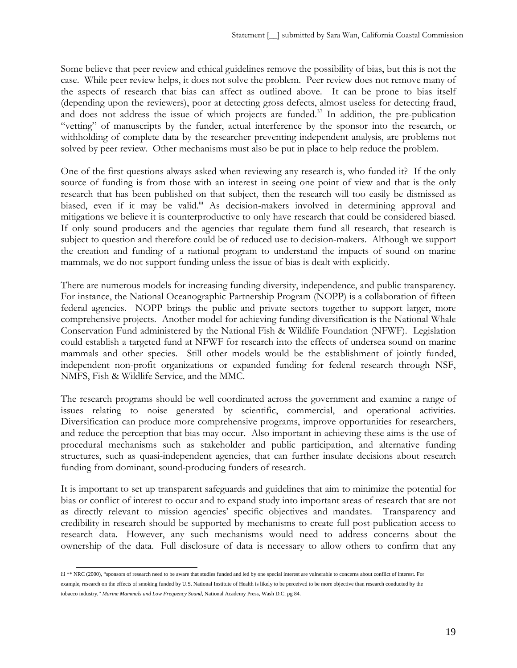Some believe that peer review and ethical guidelines remove the possibility of bias, but this is not the case. While peer review helps, it does not solve the problem. Peer review does not remove many of the aspects of research that bias can affect as outlined above. It can be prone to bias itself (depending upon the reviewers), poor at detecting gross defects, almost useless for detecting fraud, and does not address the issue of which projects are funded. $37$  In addition, the pre-publication "vetting" of manuscripts by the funder, actual interference by the sponsor into the research, or withholding of complete data by the researcher preventing independent analysis, are problems not solved by peer review. Other mechanisms must also be put in place to help reduce the problem.

One of the first questions always asked when reviewing any research is, who funded it? If the only source of funding is from those with an interest in seeing one point of view and that is the only research that has been published on that subject, then the research will too easily be dismissed as biased, even if it may be valid.<sup>iii</sup> As decision-makers involved in determining approval and mitigations we believe it is counterproductive to only have research that could be considered biased. If only sound producers and the agencies that regulate them fund all research, that research is subject to question and therefore could be of reduced use to decision-makers. Although we support the creation and funding of a national program to understand the impacts of sound on marine mammals, we do not support funding unless the issue of bias is dealt with explicitly.

There are numerous models for increasing funding diversity, independence, and public transparency. For instance, the National Oceanographic Partnership Program (NOPP) is a collaboration of fifteen federal agencies. NOPP brings the public and private sectors together to support larger, more comprehensive projects. Another model for achieving funding diversification is the National Whale Conservation Fund administered by the National Fish & Wildlife Foundation (NFWF). Legislation could establish a targeted fund at NFWF for research into the effects of undersea sound on marine mammals and other species. Still other models would be the establishment of jointly funded, independent non-profit organizations or expanded funding for federal research through NSF, NMFS, Fish & Wildlife Service, and the MMC.

The research programs should be well coordinated across the government and examine a range of issues relating to noise generated by scientific, commercial, and operational activities. Diversification can produce more comprehensive programs, improve opportunities for researchers, and reduce the perception that bias may occur. Also important in achieving these aims is the use of procedural mechanisms such as stakeholder and public participation, and alternative funding structures, such as quasi-independent agencies, that can further insulate decisions about research funding from dominant, sound-producing funders of research.

It is important to set up transparent safeguards and guidelines that aim to minimize the potential for bias or conflict of interest to occur and to expand study into important areas of research that are not as directly relevant to mission agencies' specific objectives and mandates. Transparency and credibility in research should be supported by mechanisms to create full post-publication access to research data. However, any such mechanisms would need to address concerns about the ownership of the data. Full disclosure of data is necessary to allow others to confirm that any

iii \*\* NRC (2000), "sponsors of research need to be aware that studies funded and led by one special interest are vulnerable to concerns about conflict of interest. For example, research on the effects of smoking funded by U.S. National Institute of Health is likely to be perceived to be more objective than research conducted by the tobacco industry," *Marine Mammals and Low Frequency Sound*, National Academy Press, Wash D.C. pg 84.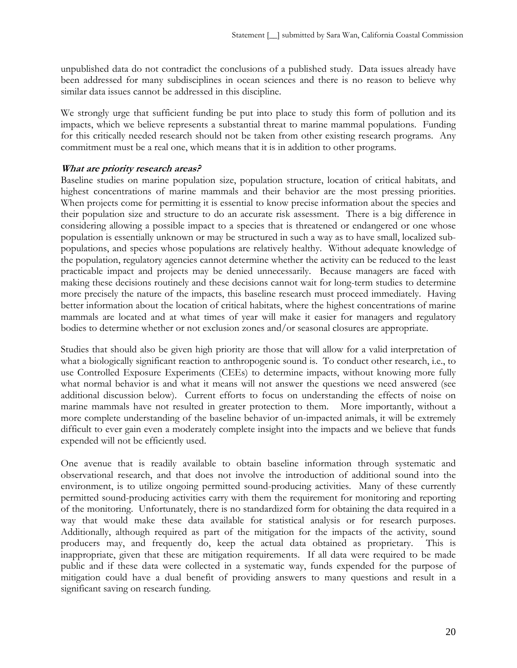unpublished data do not contradict the conclusions of a published study. Data issues already have been addressed for many subdisciplines in ocean sciences and there is no reason to believe why similar data issues cannot be addressed in this discipline.

We strongly urge that sufficient funding be put into place to study this form of pollution and its impacts, which we believe represents a substantial threat to marine mammal populations. Funding for this critically needed research should not be taken from other existing research programs. Any commitment must be a real one, which means that it is in addition to other programs.

#### **What are priority research areas?**

Baseline studies on marine population size, population structure, location of critical habitats, and highest concentrations of marine mammals and their behavior are the most pressing priorities. When projects come for permitting it is essential to know precise information about the species and their population size and structure to do an accurate risk assessment. There is a big difference in considering allowing a possible impact to a species that is threatened or endangered or one whose population is essentially unknown or may be structured in such a way as to have small, localized subpopulations, and species whose populations are relatively healthy. Without adequate knowledge of the population, regulatory agencies cannot determine whether the activity can be reduced to the least practicable impact and projects may be denied unnecessarily. Because managers are faced with making these decisions routinely and these decisions cannot wait for long-term studies to determine more precisely the nature of the impacts, this baseline research must proceed immediately. Having better information about the location of critical habitats, where the highest concentrations of marine mammals are located and at what times of year will make it easier for managers and regulatory bodies to determine whether or not exclusion zones and/or seasonal closures are appropriate.

Studies that should also be given high priority are those that will allow for a valid interpretation of what a biologically significant reaction to anthropogenic sound is. To conduct other research, i.e., to use Controlled Exposure Experiments (CEEs) to determine impacts, without knowing more fully what normal behavior is and what it means will not answer the questions we need answered (see additional discussion below). Current efforts to focus on understanding the effects of noise on marine mammals have not resulted in greater protection to them. More importantly, without a more complete understanding of the baseline behavior of un-impacted animals, it will be extremely difficult to ever gain even a moderately complete insight into the impacts and we believe that funds expended will not be efficiently used.

One avenue that is readily available to obtain baseline information through systematic and observational research, and that does not involve the introduction of additional sound into the environment, is to utilize ongoing permitted sound-producing activities. Many of these currently permitted sound-producing activities carry with them the requirement for monitoring and reporting of the monitoring. Unfortunately, there is no standardized form for obtaining the data required in a way that would make these data available for statistical analysis or for research purposes. Additionally, although required as part of the mitigation for the impacts of the activity, sound producers may, and frequently do, keep the actual data obtained as proprietary. This is inappropriate, given that these are mitigation requirements. If all data were required to be made public and if these data were collected in a systematic way, funds expended for the purpose of mitigation could have a dual benefit of providing answers to many questions and result in a significant saving on research funding.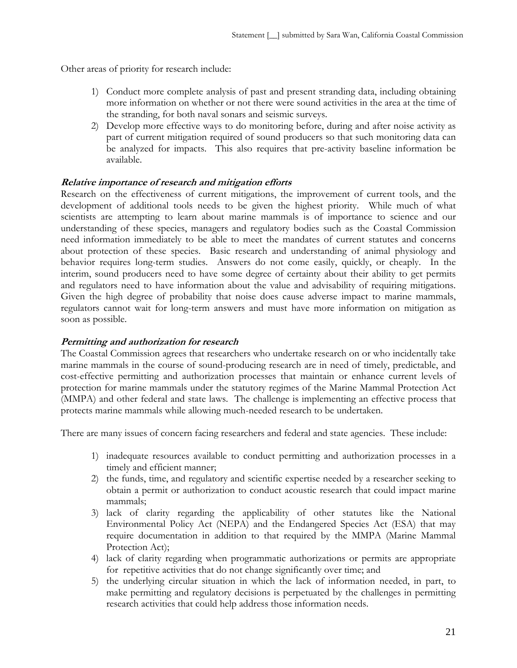Other areas of priority for research include:

- 1) Conduct more complete analysis of past and present stranding data, including obtaining more information on whether or not there were sound activities in the area at the time of the stranding, for both naval sonars and seismic surveys.
- 2) Develop more effective ways to do monitoring before, during and after noise activity as part of current mitigation required of sound producers so that such monitoring data can be analyzed for impacts. This also requires that pre-activity baseline information be available.

## **Relative importance of research and mitigation efforts**

Research on the effectiveness of current mitigations, the improvement of current tools, and the development of additional tools needs to be given the highest priority. While much of what scientists are attempting to learn about marine mammals is of importance to science and our understanding of these species, managers and regulatory bodies such as the Coastal Commission need information immediately to be able to meet the mandates of current statutes and concerns about protection of these species. Basic research and understanding of animal physiology and behavior requires long-term studies. Answers do not come easily, quickly, or cheaply. In the interim, sound producers need to have some degree of certainty about their ability to get permits and regulators need to have information about the value and advisability of requiring mitigations. Given the high degree of probability that noise does cause adverse impact to marine mammals, regulators cannot wait for long-term answers and must have more information on mitigation as soon as possible.

### **Permitting and authorization for research**

The Coastal Commission agrees that researchers who undertake research on or who incidentally take marine mammals in the course of sound-producing research are in need of timely, predictable, and cost-effective permitting and authorization processes that maintain or enhance current levels of protection for marine mammals under the statutory regimes of the Marine Mammal Protection Act (MMPA) and other federal and state laws. The challenge is implementing an effective process that protects marine mammals while allowing much-needed research to be undertaken.

There are many issues of concern facing researchers and federal and state agencies. These include:

- 1) inadequate resources available to conduct permitting and authorization processes in a timely and efficient manner;
- 2) the funds, time, and regulatory and scientific expertise needed by a researcher seeking to obtain a permit or authorization to conduct acoustic research that could impact marine mammals;
- 3) lack of clarity regarding the applicability of other statutes like the National Environmental Policy Act (NEPA) and the Endangered Species Act (ESA) that may require documentation in addition to that required by the MMPA (Marine Mammal Protection Act);
- 4) lack of clarity regarding when programmatic authorizations or permits are appropriate for repetitive activities that do not change significantly over time; and
- 5) the underlying circular situation in which the lack of information needed, in part, to make permitting and regulatory decisions is perpetuated by the challenges in permitting research activities that could help address those information needs.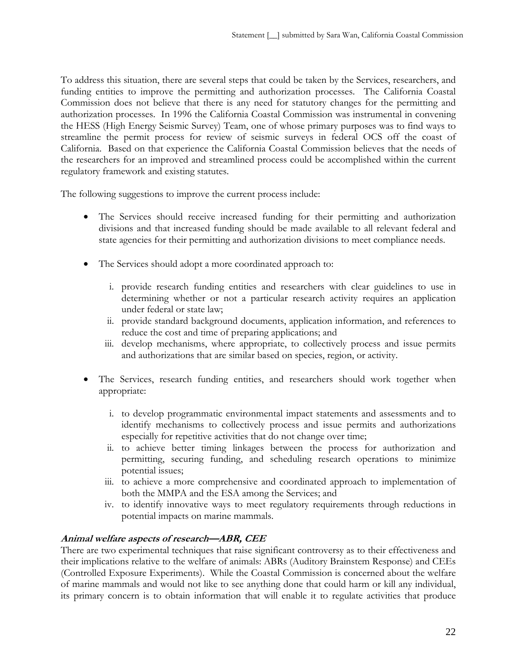To address this situation, there are several steps that could be taken by the Services, researchers, and funding entities to improve the permitting and authorization processes. The California Coastal Commission does not believe that there is any need for statutory changes for the permitting and authorization processes. In 1996 the California Coastal Commission was instrumental in convening the HESS (High Energy Seismic Survey) Team, one of whose primary purposes was to find ways to streamline the permit process for review of seismic surveys in federal OCS off the coast of California. Based on that experience the California Coastal Commission believes that the needs of the researchers for an improved and streamlined process could be accomplished within the current regulatory framework and existing statutes.

The following suggestions to improve the current process include:

- The Services should receive increased funding for their permitting and authorization divisions and that increased funding should be made available to all relevant federal and state agencies for their permitting and authorization divisions to meet compliance needs.
- The Services should adopt a more coordinated approach to:
	- i. provide research funding entities and researchers with clear guidelines to use in determining whether or not a particular research activity requires an application under federal or state law;
	- ii. provide standard background documents, application information, and references to reduce the cost and time of preparing applications; and
	- iii. develop mechanisms, where appropriate, to collectively process and issue permits and authorizations that are similar based on species, region, or activity.
- The Services, research funding entities, and researchers should work together when appropriate:
	- i. to develop programmatic environmental impact statements and assessments and to identify mechanisms to collectively process and issue permits and authorizations especially for repetitive activities that do not change over time;
	- ii. to achieve better timing linkages between the process for authorization and permitting, securing funding, and scheduling research operations to minimize potential issues;
	- iii. to achieve a more comprehensive and coordinated approach to implementation of both the MMPA and the ESA among the Services; and
	- iv. to identify innovative ways to meet regulatory requirements through reductions in potential impacts on marine mammals.

# **Animal welfare aspects of research—ABR, CEE**

There are two experimental techniques that raise significant controversy as to their effectiveness and their implications relative to the welfare of animals: ABRs (Auditory Brainstem Response) and CEEs (Controlled Exposure Experiments). While the Coastal Commission is concerned about the welfare of marine mammals and would not like to see anything done that could harm or kill any individual, its primary concern is to obtain information that will enable it to regulate activities that produce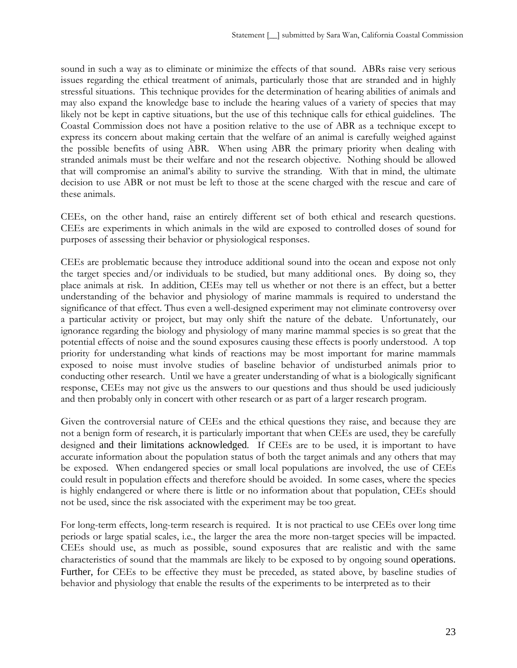sound in such a way as to eliminate or minimize the effects of that sound. ABRs raise very serious issues regarding the ethical treatment of animals, particularly those that are stranded and in highly stressful situations. This technique provides for the determination of hearing abilities of animals and may also expand the knowledge base to include the hearing values of a variety of species that may likely not be kept in captive situations, but the use of this technique calls for ethical guidelines. The Coastal Commission does not have a position relative to the use of ABR as a technique except to express its concern about making certain that the welfare of an animal is carefully weighed against the possible benefits of using ABR. When using ABR the primary priority when dealing with stranded animals must be their welfare and not the research objective. Nothing should be allowed that will compromise an animal's ability to survive the stranding. With that in mind, the ultimate decision to use ABR or not must be left to those at the scene charged with the rescue and care of these animals.

CEEs, on the other hand, raise an entirely different set of both ethical and research questions. CEEs are experiments in which animals in the wild are exposed to controlled doses of sound for purposes of assessing their behavior or physiological responses.

CEEs are problematic because they introduce additional sound into the ocean and expose not only the target species and/or individuals to be studied, but many additional ones. By doing so, they place animals at risk. In addition, CEEs may tell us whether or not there is an effect, but a better understanding of the behavior and physiology of marine mammals is required to understand the significance of that effect. Thus even a well-designed experiment may not eliminate controversy over a particular activity or project, but may only shift the nature of the debate. Unfortunately, our ignorance regarding the biology and physiology of many marine mammal species is so great that the potential effects of noise and the sound exposures causing these effects is poorly understood. A top priority for understanding what kinds of reactions may be most important for marine mammals exposed to noise must involve studies of baseline behavior of undisturbed animals prior to conducting other research. Until we have a greater understanding of what is a biologically significant response, CEEs may not give us the answers to our questions and thus should be used judiciously and then probably only in concert with other research or as part of a larger research program.

Given the controversial nature of CEEs and the ethical questions they raise, and because they are not a benign form of research, it is particularly important that when CEEs are used, they be carefully designed and their limitations acknowledged. If CEEs are to be used, it is important to have accurate information about the population status of both the target animals and any others that may be exposed. When endangered species or small local populations are involved, the use of CEEs could result in population effects and therefore should be avoided. In some cases, where the species is highly endangered or where there is little or no information about that population, CEEs should not be used, since the risk associated with the experiment may be too great.

For long-term effects, long-term research is required. It is not practical to use CEEs over long time periods or large spatial scales, i.e., the larger the area the more non-target species will be impacted. CEEs should use, as much as possible, sound exposures that are realistic and with the same characteristics of sound that the mammals are likely to be exposed to by ongoing sound operations. Further, for CEEs to be effective they must be preceded, as stated above, by baseline studies of behavior and physiology that enable the results of the experiments to be interpreted as to their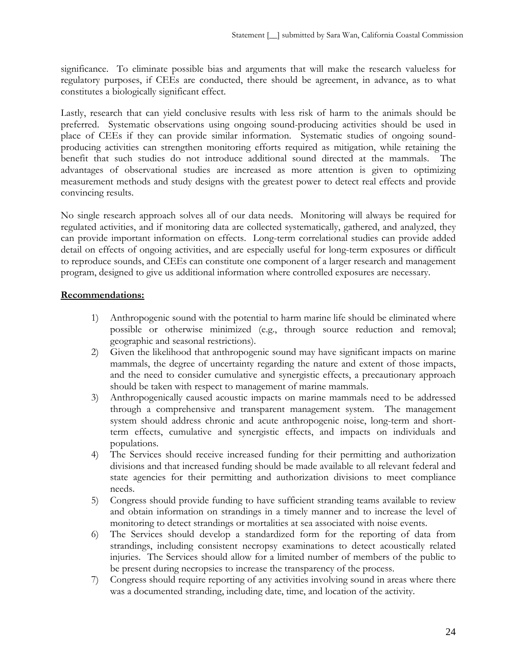significance. To eliminate possible bias and arguments that will make the research valueless for regulatory purposes, if CEEs are conducted, there should be agreement, in advance, as to what constitutes a biologically significant effect.

Lastly, research that can yield conclusive results with less risk of harm to the animals should be preferred. Systematic observations using ongoing sound-producing activities should be used in place of CEEs if they can provide similar information. Systematic studies of ongoing soundproducing activities can strengthen monitoring efforts required as mitigation, while retaining the benefit that such studies do not introduce additional sound directed at the mammals. The advantages of observational studies are increased as more attention is given to optimizing measurement methods and study designs with the greatest power to detect real effects and provide convincing results.

No single research approach solves all of our data needs. Monitoring will always be required for regulated activities, and if monitoring data are collected systematically, gathered, and analyzed, they can provide important information on effects. Long-term correlational studies can provide added detail on effects of ongoing activities, and are especially useful for long-term exposures or difficult to reproduce sounds, and CEEs can constitute one component of a larger research and management program, designed to give us additional information where controlled exposures are necessary.

## **Recommendations:**

- 1) Anthropogenic sound with the potential to harm marine life should be eliminated where possible or otherwise minimized (e.g., through source reduction and removal; geographic and seasonal restrictions).
- 2) Given the likelihood that anthropogenic sound may have significant impacts on marine mammals, the degree of uncertainty regarding the nature and extent of those impacts, and the need to consider cumulative and synergistic effects, a precautionary approach should be taken with respect to management of marine mammals.
- 3) Anthropogenically caused acoustic impacts on marine mammals need to be addressed through a comprehensive and transparent management system. The management system should address chronic and acute anthropogenic noise, long-term and shortterm effects, cumulative and synergistic effects, and impacts on individuals and populations.
- 4) The Services should receive increased funding for their permitting and authorization divisions and that increased funding should be made available to all relevant federal and state agencies for their permitting and authorization divisions to meet compliance needs.
- 5) Congress should provide funding to have sufficient stranding teams available to review and obtain information on strandings in a timely manner and to increase the level of monitoring to detect strandings or mortalities at sea associated with noise events.
- 6) The Services should develop a standardized form for the reporting of data from strandings, including consistent necropsy examinations to detect acoustically related injuries. The Services should allow for a limited number of members of the public to be present during necropsies to increase the transparency of the process.
- 7) Congress should require reporting of any activities involving sound in areas where there was a documented stranding, including date, time, and location of the activity.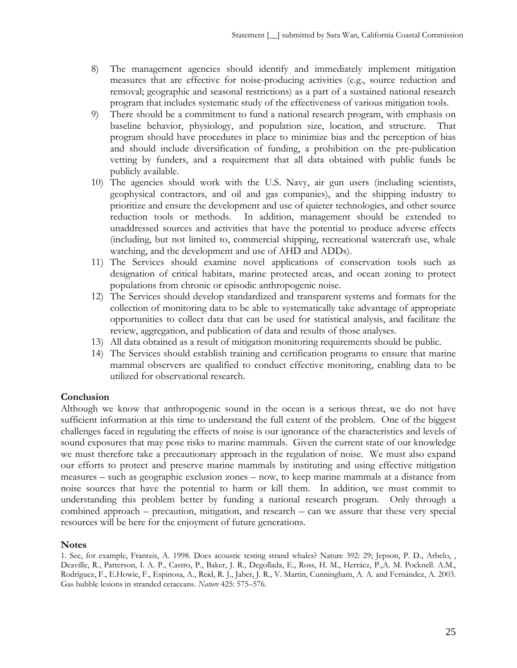- 8) The management agencies should identify and immediately implement mitigation measures that are effective for noise-producing activities (e.g., source reduction and removal; geographic and seasonal restrictions) as a part of a sustained national research program that includes systematic study of the effectiveness of various mitigation tools.
- 9) There should be a commitment to fund a national research program, with emphasis on baseline behavior, physiology, and population size, location, and structure. That program should have procedures in place to minimize bias and the perception of bias and should include diversification of funding, a prohibition on the pre-publication vetting by funders, and a requirement that all data obtained with public funds be publicly available.
- 10) The agencies should work with the U.S. Navy, air gun users (including scientists, geophysical contractors, and oil and gas companies), and the shipping industry to prioritize and ensure the development and use of quieter technologies, and other source reduction tools or methods. In addition, management should be extended to unaddressed sources and activities that have the potential to produce adverse effects (including, but not limited to, commercial shipping, recreational watercraft use, whale watching, and the development and use of AHD and ADDs).
- 11) The Services should examine novel applications of conservation tools such as designation of critical habitats, marine protected areas, and ocean zoning to protect populations from chronic or episodic anthropogenic noise.
- 12) The Services should develop standardized and transparent systems and formats for the collection of monitoring data to be able to systematically take advantage of appropriate opportunities to collect data that can be used for statistical analysis, and facilitate the review, aggregation, and publication of data and results of those analyses.
- 13) All data obtained as a result of mitigation monitoring requirements should be public.
- 14) The Services should establish training and certification programs to ensure that marine mammal observers are qualified to conduct effective monitoring, enabling data to be utilized for observational research.

### **Conclusion**

Although we know that anthropogenic sound in the ocean is a serious threat, we do not have sufficient information at this time to understand the full extent of the problem. One of the biggest challenges faced in regulating the effects of noise is our ignorance of the characteristics and levels of sound exposures that may pose risks to marine mammals. Given the current state of our knowledge we must therefore take a precautionary approach in the regulation of noise. We must also expand our efforts to protect and preserve marine mammals by instituting and using effective mitigation measures – such as geographic exclusion zones – now, to keep marine mammals at a distance from noise sources that have the potential to harm or kill them. In addition, we must commit to understanding this problem better by funding a national research program. Only through a combined approach – precaution, mitigation, and research – can we assure that these very special resources will be here for the enjoyment of future generations.

#### **Notes**

1. See, for example, Frantzis, A. 1998. Does acoustic testing strand whales? Nature 392: 29; Jepson, P. D., Arbelo, , Deaville, R., Patterson, I. A. P., Castro, P., Baker, J. R., Degollada, E., Ross, H. M., Herráez, P.,A. M. Pocknell. A.M., Rodríguez, F., E.Howie, F., Espinosa, A., Reid, R. J., Jaber, J. R., V. Martin, Cunningham, A. A. and Fernández, A. 2003. Gas bubble lesions in stranded cetaceans. *Nature* 425: 575–576.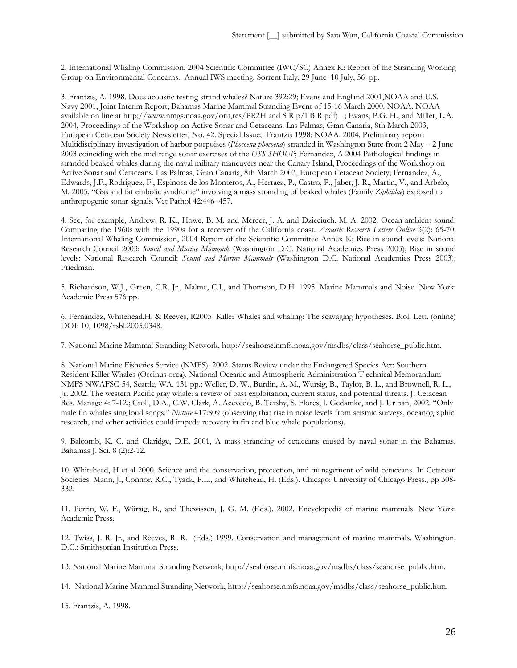2. International Whaling Commission, 2004 Scientific Committee (IWC/SC) Annex K: Report of the Stranding Working Group on Environmental Concerns. Annual IWS meeting, Sorrent Italy, 29 June–10 July, 56 pp.

3. Frantzis, A. 1998. Does acoustic testing strand whales? Nature 392:29; Evans and England 2001,NOAA and U.S. Navy 2001, Joint Interim Report; Bahamas Marine Mammal Stranding Event of 15-16 March 2000. NOAA. NOAA available on line at http;//www.nmgs.noaa.gov/orit,res/PR2H and S R p/I B R pdf) ; Evans, P.G. H., and Miller, L.A. 2004, Proceedings of the Workshop on Active Sonar and Cetaceans. Las Palmas, Gran Canaria, 8th March 2003, European Cetacean Society Newsletter, No. 42. Special Issue; Frantzis 1998; NOAA. 2004. Preliminary report: Multidisciplinary investigation of harbor porpoises (*Phocoena phocoena*) stranded in Washington State from 2 May – 2 June 2003 coinciding with the mid-range sonar exercises of the *USS SHOUP*; Fernandez, A 2004 Pathological findings in stranded beaked whales during the naval military maneuvers near the Canary Island, Proceedings of the Workshop on Active Sonar and Cetaceans. Las Palmas, Gran Canaria, 8th March 2003, European Cetacean Society; Fernandez, A., Edwards, J.F., Rodriguez, F., Espinosa de los Monteros, A., Herraez, P., Castro, P., Jaber, J. R., Martin, V., and Arbelo, M. 2005. "Gas and fat embolic syndrome" involving a mass stranding of beaked whales (Family *Ziphiidae*) exposed to anthropogenic sonar signals. Vet Pathol 42:446–457.

4. See, for example, Andrew, R. K., Howe, B. M. and Mercer, J. A. and Dzieciuch, M. A. 2002. Ocean ambient sound: Comparing the 1960s with the 1990s for a receiver off the California coast. *Acoustic Research Letters Online* 3(2): 65-70; International Whaling Commission, 2004 Report of the Scientific Committee Annex K; Rise in sound levels: National Research Council 2003: *Sound and Marine Mammals* (Washington D.C. National Academies Press 2003); Rise in sound levels: National Research Council: *Sound and Marine Mammals* (Washington D.C. National Academies Press 2003); Friedman.

5. Richardson, W.J., Green, C.R. Jr., Malme, C.I., and Thomson, D.H. 1995. Marine Mammals and Noise. New York: Academic Press 576 pp.

6. Fernandez, Whitehead,H. & Reeves, R2005 Killer Whales and whaling: The scavaging hypotheses. Biol. Lett. (online) DOI: 10, 1098/rsbl.2005.0348.

7. National Marine Mammal Stranding Network, http://seahorse.nmfs.noaa.gov/msdbs/class/seahorse\_public.htm.

8. National Marine Fisheries Service (NMFS). 2002. Status Review under the Endangered Species Act: Southern Resident Killer Whales (Orcinus orca). National Oceanic and Atmospheric Administration T echnical Memorandum NMFS NWAFSC-54, Seattle, WA. 131 pp.; Weller, D. W., Burdin, A. M., Wursig, B., Taylor, B. L., and Brownell, R. L., Jr. 2002. The western Pacific gray whale: a review of past exploitation, current status, and potential threats. J. Cetacean Res. Manage 4: 7-12.; Croll, D.A., C.W. Clark, A. Acevedo, B. Tershy, S. Flores, J. Gedamke, and J. Ur ban, 2002. "Only male fin whales sing loud songs," *Nature* 417:809 (observing that rise in noise levels from seismic surveys, oceanographic research, and other activities could impede recovery in fin and blue whale populations).

9. Balcomb, K. C. and Claridge, D.E. 2001, A mass stranding of cetaceans caused by naval sonar in the Bahamas. Bahamas J. Sci. 8 (2):2-12.

10. Whitehead, H et al 2000. Science and the conservation, protection, and management of wild cetaceans. In Cetacean Societies. Mann, J., Connor, R.C., Tyack, P.L., and Whitehead, H. (Eds.). Chicago: University of Chicago Press., pp 308- 332.

11. Perrin, W. F., Würsig, B., and Thewissen, J. G. M. (Eds.). 2002. Encyclopedia of marine mammals. New York: Academic Press.

12. Twiss, J. R. Jr., and Reeves, R. R. (Eds.) 1999. Conservation and management of marine mammals. Washington, D.C.: Smithsonian Institution Press.

13. National Marine Mammal Stranding Network, http://seahorse.nmfs.noaa.gov/msdbs/class/seahorse\_public.htm.

14. National Marine Mammal Stranding Network, http://seahorse.nmfs.noaa.gov/msdbs/class/seahorse\_public.htm.

15. Frantzis, A. 1998.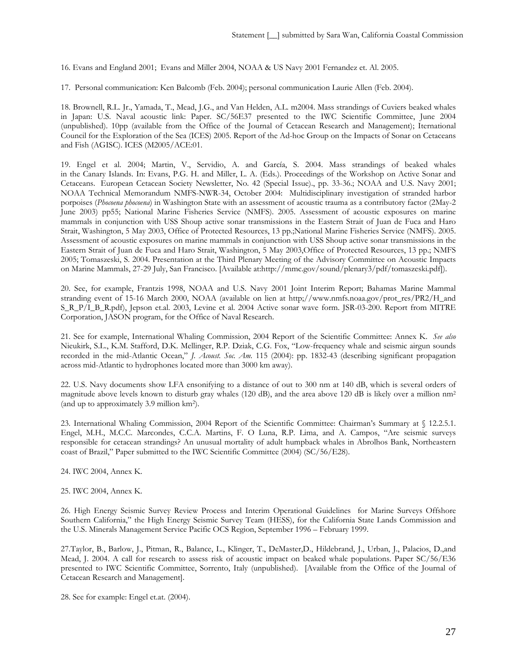16. Evans and England 2001; Evans and Miller 2004, NOAA & US Navy 2001 Fernandez et. Al. 2005.

17. Personal communication: Ken Balcomb (Feb. 2004); personal communication Laurie Allen (Feb. 2004).

18. Brownell, R.L. Jr., Yamada, T., Mead, J.G., and Van Helden, A.L. m2004. Mass strandings of Cuviers beaked whales in Japan: U.S. Naval acoustic link: Paper. SC/56E37 presented to the IWC Scientific Committee, June 2004 (unpublished). 10pp (available from the Office of the Journal of Cetacean Research and Management); Iternational Council for the Exploration of the Sea (ICES) 2005. Report of the Ad-hoc Group on the Impacts of Sonar on Cetaceans and Fish (AGISC). ICES (M2005/ACE:01.

19. Engel et al. 2004; Martin, V., Servidio, A. and García, S. 2004. Mass strandings of beaked whales in the Canary Islands. In: Evans, P.G. H. and Miller, L. A. (Eds.). Proceedings of the Workshop on Active Sonar and Cetaceans. European Cetacean Society Newsletter, No. 42 (Special Issue)., pp. 33-36.; NOAA and U.S. Navy 2001; NOAA Technical Memorandum NMFS-NWR-34, October 2004: Multidisciplinary investigation of stranded harbor porpoises (*Phocoena phocoena*) in Washington State with an assessment of acoustic trauma as a contributory factor (2May-2 June 2003) pp55; National Marine Fisheries Service (NMFS). 2005. Assessment of acoustic exposures on marine mammals in conjunction with USS Shoup active sonar transmissions in the Eastern Strait of Juan de Fuca and Haro Strait, Washington, 5 May 2003, Office of Protected Resources, 13 pp.;National Marine Fisheries Service (NMFS). 2005. Assessment of acoustic exposures on marine mammals in conjunction with USS Shoup active sonar transmissions in the Eastern Strait of Juan de Fuca and Haro Strait, Washington, 5 May 2003,Office of Protected Resources, 13 pp.; NMFS 2005; Tomaszeski, S. 2004. Presentation at the Third Plenary Meeting of the Advisory Committee on Acoustic Impacts on Marine Mammals, 27-29 July, San Francisco. [Available at:http://mmc.gov/sound/plenary3/pdf/tomaszeski.pdf]).

20. See, for example, Frantzis 1998, NOAA and U.S. Navy 2001 Joint Interim Report; Bahamas Marine Mammal stranding event of 15-16 March 2000, NOAA (available on lien at http://www.nmfs.noaa.gov/prot\_res/PR2/H\_and S\_R\_P/I\_B\_R.pdf), Jepson et.al. 2003, Levine et al. 2004 Active sonar wave form. JSR-03-200. Report from MITRE Corporation, JASON program, for the Office of Naval Research.

21. See for example, International Whaling Commission, 2004 Report of the Scientific Committee: Annex K. *See also* Nieukirk, S.L., K.M. Stafford, D.K. Mellinger, R.P. Dziak, C.G. Fox, "Low-frequency whale and seismic airgun sounds recorded in the mid-Atlantic Ocean," *J. Acoust. Soc. Am.* 115 (2004): pp. 1832-43 (describing significant propagation across mid-Atlantic to hydrophones located more than 3000 km away).

22. U.S. Navy documents show LFA ensonifying to a distance of out to 300 nm at 140 dB, which is several orders of magnitude above levels known to disturb gray whales (120 dB), and the area above 120 dB is likely over a million nm<sup>2</sup> (and up to approximately 3.9 million km2).

23. International Whaling Commission, 2004 Report of the Scientific Committee: Chairman's Summary at § 12.2.5.1. Engel, M.H., M.C.C. Marcondes, C.C.A. Martins, F. O Luna, R.P. Lima, and A. Campos, "Are seismic surveys responsible for cetacean strandings? An unusual mortality of adult humpback whales in Abrolhos Bank, Northeastern coast of Brazil," Paper submitted to the IWC Scientific Committee (2004) (SC/56/E28).

24. IWC 2004, Annex K.

25. IWC 2004, Annex K.

26. High Energy Seismic Survey Review Process and Interim Operational Guidelines for Marine Surveys Offshore Southern California," the High Energy Seismic Survey Team (HESS), for the California State Lands Commission and the U.S. Minerals Management Service Pacific OCS Region, September 1996 – February 1999.

27.Taylor, B., Barlow, J., Pitman, R., Balance, L., Klinger, T., DeMaster,D., Hildebrand, J., Urban, J., Palacios, D.,and Mead, J. 2004. A call for research to assess risk of acoustic impact on beaked whale populations. Paper SC/56/E36 presented to IWC Scientific Committee, Sorrento, Italy (unpublished). [Available from the Office of the Journal of Cetacean Research and Management].

28. See for example: Engel et.at. (2004).